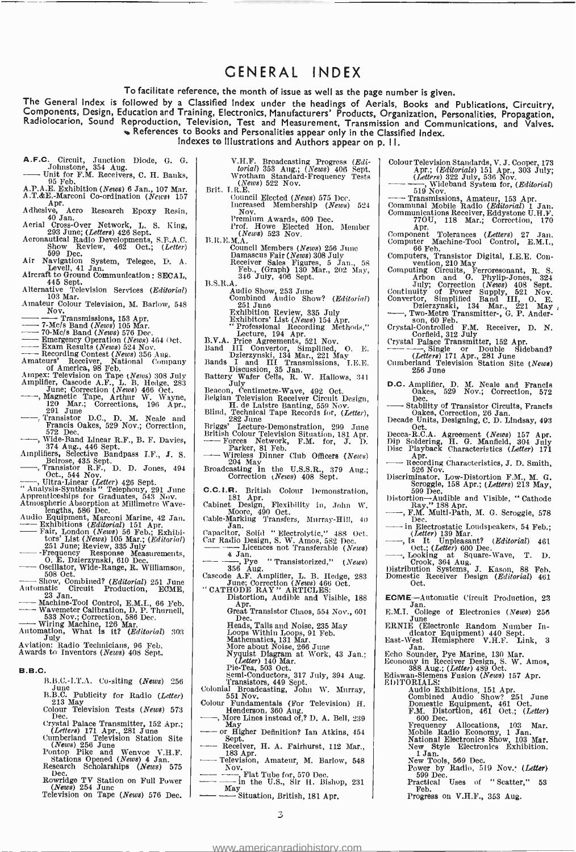## GENERAL INDEX

To facilitate reference, the month of issue as well as the page number is given.

The General Index is followed by a Classified Index under the headings of Aerials, Books and Publications, Circuitry,<br>Components, Design, Education and Training, Electronics, Manufacturers' Products, Organization, Personal References to Books and Personalities appear only in the Classified Index.

Indexes to Illustrations and Authors appear on p. I I.

- A.F.C. Circuit, Junction Diode, G. G. Johnstone, 354 Aug.<br>----- Unit for F.M. Receivers, C. H. Banks, A.P.A.E. Exhibition (News) 6 Jan., 107 Mar.<br>A.T.&E.-Marconi Co-ordination (News) 157
- 
- A.P.A.E. Exhibition (News) 6 Jan., 107 Mar.<br>A.T. &E: Marconi Co-ordination (News) 157<br>Adhesive, Aero Research Epoxy Resin,<br> $40$  Jan.
- 
- Aerial Cross-Over Network, L. S. King, 293 June; (Letters) 426 Sept.<br>Aeronautical Radio Developments, S.F.A.C.
- Show Review, 462 Oct.; (*Letter*)<br>599 Dec.
- Air Navigation System, Telegee, D. A. Level, 41 Jan.
- 
- Aircraft to Ground Communication : SECAL,<br>445 Sept.  $458$ <br>Alternative Television Services (Editorial)<br>103 Mar.
- Amateur Colour Television, M. Barlow, 548 - - Nov. - Transmissions 153 Apr. - 7-Mcfs Band (News) 105 Mar. - 70 -Mc /s Band (News) 576 Dec. - Emergency Operation (News) 464 Oct. Exam Results (News) 524 Nov.
- 
- 
- 
- 
- Recording Contest (News) 356 Aug. Amateurs' Receiver, National Company of America, 98 Feb.
- 
- 
- Ampex: Television on Tape (News) 303 July<br>
Amplifier, Cascode A.F., L. B. Hedge, 283<br>
June; Correction (News) 466 Oct.<br>
--, Magnetic Tape, Arthur W. Wayne,<br>
120 Mar.; Corrections, 196 Apr.,<br>
291 June<br>
--, Transistor D.C.,
- Francis Oakes, 529 Nov.; Dr. M. Neare and<br>Francis Oakes, 529 Nov.; Correction,<br>Type Pand Linear R.F., B. F. Davies,<br>374 Aug., 446 Sept.<br>Amplifiers, Selective Bandpass I.F., J. S.<br>Belrose, 435 Sept.<br>Cr., Transistor R.F., D.
- 
- 
- 
- 
- 
- 
- Ampenticeships for Graduates, 543 Nov.<br>Appenticeships for Graduates, 543 Nov.<br>Atmospheric Absorption at Millimetre Wave-<br>Iengths, 566 Dec.<br>Audio Equipment, Marconi Marine, 42 Jan.<br>Audio Equipment, Marconi Marine, 42 Jan.<br>T
- 
- Oscillator, Wide- Range, R. Williamson, 508 Oct.
- Show, Wide-Kange, K. Williamson,<br>
Show, Combined? (Editorial) 251 June<br>
Automatic Circuit Production, ECME,<br>
23 Jan.<br>
---Wavemeter Calibration, D. P. Thurnell,<br>
----Wavemeter Calibration, D. P. Thurnell,<br>
568 Nov.; Correct
- Machine Critical Calibration, D. P. Thumell, Machine Tool Control, E.M.I., 66 Feb.<br>Wavemeter Calibration, D. P. Thurnell,<br>533 Nov.; Correction, 586 Dec.<br>Automation, What is it? (Editorial) 303<br>Aviation: Radio Technicians
- 
- 
- 
- B.B.C.
	- $B.B.C.-1.T.A.$  Co-siting (*News*) 256
	- B.B.C. Publicity for Radio (Letter) 213 May  $\text{Colour}$  Television Tests (News) 573
	-
	- Dec. (Letters) 171 Apr., 281 June (Letters) 171 Apr., 281 June Cumberland Television Station Site (News) 256 June Pontop Pike and Wenvoe V.H.F. Stations Opened (News) 4 Jan.
	-
	- Research Scholarships (News) 575<br>Dec.
	-
	- Rowridge TV Station on Full Power (News) 254 June<br>
	Television on Tape (News) 576 Dec.

V.H.F. Broadcasting Progress (Edi-<br>torial) 353 Aug.; (News) 406 Sept.<br>Wrotham Standard Frequency Tests  $(News)$  522 Nov.<br>Brit. I.R.E.

- Council Elected (*News*) 575 Dec.  $\begin{bmatrix} -1 & 0 & 0 \\ 0 & -1 & 0 \\ 0 & 0 & 0 \end{bmatrix}$
- 

Nov.<br>
Premium Awards, 609 Dec.<br>
Prof. Howe Elected Hon. Member (News) 523 Nov.

- $B.R.E.M.A.$  Council Members (News) 256 June
	-
- Damascus Fair (News) 308 July Receiver Sales Figures, 5 Jan., 58 Feb., (Graph) 130 Mar., 202 May, 346 July, 408 Sept.
	-
	- - Audio Show, 253 June<br>Combined Audio Show? (*Editorial*)<br>\_ <sup>251</sup> June
			-
- Exhibition Review, 335 July<br>
Exhibitors' List (News) 154 Apr.<br>
"Professional Recording Methods,"<br>
Lecture, 194 Apr.<br>
Professional Recording Methods,"<br>
B.V.A. Price Agreements, 521 Nov.<br>
Band III Convertor, Simplified, O. E
- 
- 
- 
- Discussion, 35 Jan.<br>Battery Wafer Cells, R. W. Hallows, 341<br>Beacon, Centimetre-Wave, 492 Oct.
- 
- Belgian Television Receiver Circuit Design,<br>Bits H. de Laistre Banting, 559 Nov. Blind, Technical Tape Records for,  $(Letter)$ ,
- Briggs' Lecture- Demonstration, 299 June British Colour Television Situation, 181 Apr. Forces Network, F.M. for, J. D. Briggs' Lecture-Demonstra<br>British Colour Television Sit<br>---- Forces Network, F.1<br>---- Wireless Dinner Club<br>204 May<br>Procedeing in the U.S.
- 
- Wireless Dinner Club Officers (News)<br>204 May<br>Broadcasting In the U.S.S.R., 379 Aug.;<br>Correction (News) 408 Sept.
- 
- C.C.I.R. British Colour Demonstration,<br>Cabinet Design, Flexibility in, John W.<br>Moore, 490 Oct.
- Cable- Marking Transfers, Murray -Hill, 40 Jan. Capacitor, Solid " Electrolytic," 488 Oct.
- Cable-Marking Transfers, Murray-Hill, 40<br>
Jan.<br>
Capacitor, Solid "Electrolytic," 488 Oct.<br>
Car Radio Design, S. W. Amos, 582 Dec.<br>
-- -- Licences not Transferable (News)<br>
--- -- -- By "Transistorized," (News)<br>
Capacela Ru
- 
- Pye " Transistorized," (News) 356 Aug. Cascode A.F. Amplifier, L. B. Hedge, <sup>283</sup> June; Correction (News) 466 Oct. " CATHODE RAY " ARTICLES:
- - Distortion, Audible and Visible, 188<br>Apr.<br>Great Transistor Chaos, 554 Nov., 601<br>Dec.
		- -
		-
		-
		- Heads, Tails and Noise, 235 May I<br>Loops Within Loops, 91 Feb. 11<br>Mathematics, 131 Mar.<br>More about Noise, 266 June<br>Nyquist Diagram at Work, 43 Jan.; 11<br>1. (Letter) 140 Mar.
		-
- Semi-Conductors, 317 July, 394 Aug.<br>Transistors, 449 Sept.<br>Colonial Broadcasting, John W. Murray, 551 Nov.
- Colour Fundamentals (For Television) H. Henderson, 360 Aug.
- 
- Colour Fundamentals (For Television) H.<br>
Henderson, 360 Aug.<br>
More Lines instead of,? D. A. Bell, 239<br>
May men is the Definition? Ian Atkins, 454<br>
Sept.<br>
The Condition? Ian Atkins, 454<br>
Sept. - Henderson, soo Aug.<br>
More Lines instead of,? D. A. Bell, 239<br>
- May<br>
or Higher Definition? Ian Atkins, 454<br>
- Receiver, H. A. Fairhurst, 112 Mar.,<br>
183 Apr.
- Television, Amateur, M. Barlow, 548
- Nov.<br>
Nov.<br>
In the U.S., Sir H. Bishop, 231<br>
May the U.S., Sir H. Bishop, 231<br>
May Situation, British, 181 Apr.
- 

3

<www.americanradiohistory.com>

- Colour Television Standards, V. J. Cooper, 173 Apr.; (Editorials) 151 Apr., 303 July; (Letters) 322 July, 536 Nov. Wideband System for, (Editorial) 519 Nov.
	-
- 
- —— Transmissions, Amateur, 153 Apr.<br>Communal Mobile Radio (*Editorial*) 1 Jan.<br>Communications Receiver, Eddystone U.H.F.
- 770U, 118 Mar.; Correction, 170<br>Apr.<br>Component Tolerances (Letters) 27 Jan Apr. Component Tolerances (Letters) 27 Jan.
- Computer Machine-Tool Control, E.M.I., 66 Feb.
- Computers, Transistor Digital, I.E.E. Con-<br>Computing Circuits, Ferroresonant, R. S.<br>Computing Circuits, Ferroresonant, R. S.<br>Arbon and G. Phylip-Jones, 324
- 
- 
- July; Correction (News) 408 Sept.<br>
Continuity of Power Supply, 521 Nov.<br>
Convertor, Simplified Band III, O. E.<br>
Dzierzynski, 134 Mar., 221 May<br>
--, Two-Metre Transmitter-, G. P. Ander-<br>
Son, 60 Feb.<br>
--
- Crystal- Controlled F.M. Receiver, D. N. Corfield, 312 July Crystal - Controlled F.M.<br>Crystal - Corfield, 312 July<br>Crystal Palace Transmitter, 152 Apr.<br>Crystal Palace Transmitter, 152 Apr.<br>-, Single or Double Sideband?<br>Charles Sideband?
- (*Letters*) 171 Apr., 281 June<br>Cumberland Television Station Site (*News*)<br>256 June

D.C. Amplifier, D. M. Neale and Francis Oakes, 529 Nov.; Correction, 572 D.C. Amplifier, D. M. Neale and Francis<br>
Oakes, 529 Nov.; Correction, 572<br>
Dec.<br>
——Stability of Transistor Circuits, Francis<br>
Oakes, Correction, 26 Jan.<br>
Decade Units, Designing, C. D. Lindsay, 493

Oct. A. Agreement (News) 157 Apr.<br>Dip Soldering, H. G. Manfield, 304 July<br>Disc Playback Characteristics (Letter) 171<br>Disc Playback Characteristics (Letter) 171<br>- Recording Characteristics, J. D. Smith,<br>Discription J. D. Re

Discriminator, Low-Distortion F.M., M. G.<br>Discriminator, Low-Distortion F.M., M. G.<br>Scroggie, 158 Apr.; (Letters) 213 May,<br>599 Dec.

 $\begin{array}{r} \text{Distotion} \longrightarrow \text{Bol} \ \text{Ray,} \text{'} \ \text{188} \longrightarrow \text{R.M. Multi} \ \text{Dec.} \ \text{in Electrost} \ (Letter) \ \text{138} \ \text{C.} \end{array}$ 

Distortion—Audible and Visible, "Cathode<br>Ray," 188 Apr.<br>——, F.M. Multi-Path, M. G. Scroggie, 578

in Electrostatic Loudspeakers, 54 Feb.;<br>
(Letter) 139 Mar.<br>
18 It Unpleasant? (Editorial) 461<br>
Oct.; (Letter) 600 Dec.<br>
..., Looking at Square Wave, T. D.<br>
Crook, 364 Aug.<br>
Distribution Systems, J. Kason, 88 Feb.

ECME-Automatic Circuit Production, 23<br>
E.M.I. College of Electronics (News) 256<br>
ERNIE (Electronic Random Number Indicator Equipment) 440 Sept.<br>
East West Hemisphere V.H.F. Link, 3<br>
Last West Hemisphere V.H.F. Link, 3

Audio Exhibitions, 151 Apr.<br>Combined Audio Show? 251 June<br>Domestic Equipment, 461 Oct.; (*Letter*)<br>F.M. Distortion, 461 Oct.; (*Letter*)

Frequency Allocations, 103 Mar.<br>Mobile Radio Economy, 1 Jan.<br>National Electronics Show, 103 Mar.<br>New Style Electronics Exhibition.

11 Jan.<br>
New Tools, 569 Dec.<br>
Power by Radio, 519 Nov.: (Letter)<br>
599 Dec.<br>
Practical Uses of "Scatter," 53<br>
Preb.

Echo Sounder, Pye Marine, 130 Mar.<br>Economy in Receiver Design, S. W. Amos, 388 Aug.; (Letter) 489 Oct.<br>Ediswan-Siemens Fusion (News) 157 Apr.<br>EDITORIALS: .......

Progress on V.H.F., 353 Aug.

F.M. Disto<br>600 Dec.

Domestic Receiver Design (Editorial) 461<br>Oct.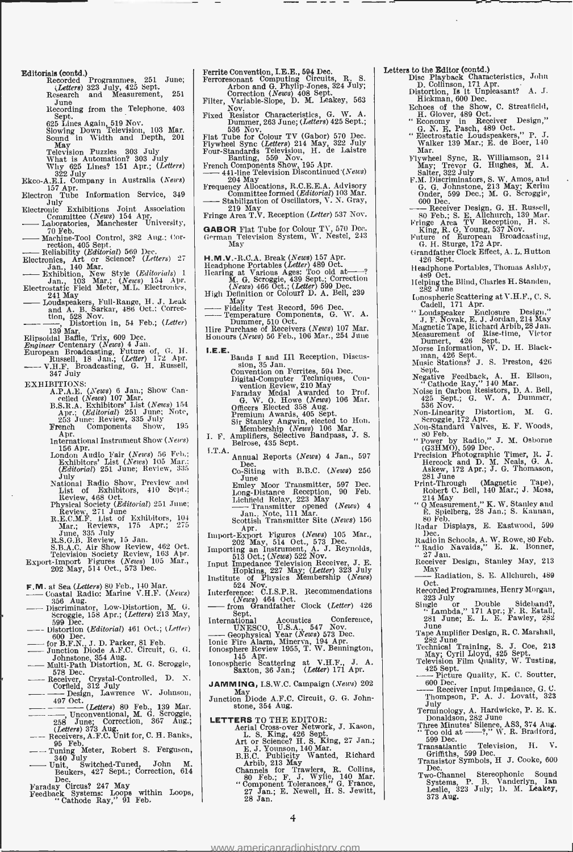- Editorials (contd.)<br>Recorded Programmes, 251 June;  $\begin{array}{|l|} \hline \text{F}}\ \hline \end{array}$ (Letters) 323 July, 425 Sept. Research and Measurement, <sup>251</sup>
	- June<br>Recording from the Telephone, 403
	- Recording from the Telephone, 403<br>Sept.<br>625 Lines Again, 519 Nov.<br>Slowing Down Television, 103 Mar.<br>Sound in Width and Depth, 201

May<br>Television Puzzles 303 July 1<br>What is Automation? 303 July<br>Why 625 Lines? 151 Apr.; (*Letters*) 1

- 
- $\frac{322 \text{ July}}{157 \text{ Apr.}}$  Electron Tube Information Service, 349<br>Electron Tube Information Service, 349<br>Electronic Exhibitions Joint Association
- 
- Electron Tube Information Service, 349<br>
Uluy Duly Exhibitions Joint Association<br>
Committee (News) 154 Apr.<br>
-- Laboratories, Manchester University,<br>
70 Feb.<br>
-- To Teb.<br>
-- Laboratories, Manchester University, C - 70 Feb.
- Machine Control, Machine Control, 382 Aug.; Control, 382 Aug.; Correction, 405 Sept.<br> **Anchine Tool Control, 382 Aug.; Correction, 405 Sept.**<br> **Anchine Reliability (Editorial) 569 Dec.**<br>
Electrolics, Art of Science? (Lette

Electronics, Art or Science? (Letters) 27 - Jan., 140 Mar. Exhibition, New Style (Editorials) <sup>1</sup>Jan. 103 Mar.; (News) 154 Apr. Electrostatic Field Meter, M.L. Electronics,

- Bathylion, New Style (Editorials) 1<br>
Jan., 103 Mar.; (News) 154 Apr.<br>
Electrostatic Field Meter, M.L. Electronics,<br>
241 May 185 Mar.; (N.L. Electronics,<br>
 Loudspeakers, Full-Range, H. J. Leak<br>
and A. B. Sarkar, 486 Oct. and A. B. Sarkar, 486 Oct.; Correc-tion, 528 Nov.
- 
- 

Filippe Mar.<br>
T39 Mar.<br>
Hipsoidal Baffle, Trix, 609 Dcc.<br>
Elipsoidal Baffle, Trix, 609 Dcc.<br>
Engineer Centenary (*News*) 4 Jan.<br>
European Broadcasting, Puture of, G. H.<br>
Russell, 18 Jan.; (*Letter*) 172 Apr.<br>
THT. Broadcas

- EXHIBITIONS:<br>
A.P.A.E. (News) 107 Mar.<br>
B.S.R.A. Exhibitors' List (News) 154<br>
B.S.R.A. Exhibitors' List (News) 154<br>
Apr.; (Editorial) 251 June; Note,<br>
253 June; Review, 335 July
	-

- French Components Show, 195<br>
Apr. International Instrument Show (News)<br>
156 Apr.<br>
London Audio Fair (News) 56 Feb.;<br>
Exhibitors' List (News) 105 Mar.;<br>
Exhibitors' List (News) 105 Mar.;
- July<br>National Radio Show, Preview and<br>List of Exhibitors, 410 Sept.;
- 
- 

List of Exhibitors, 410 Sept.;<br>
Review, 488 Oct.<br>
Physical Society (Editorial) 251 June;<br>
R.E.C.M.F. List of Exhibitors, 104<br>
R.E.C.M.F. List of Exhibitors, 104<br>
Mar.; Reviews, 175 Apr.; 275<br>
June, 335 July<br>
R.S.G.B. Revie

- 
- **F.M.** at Sea (Letters) 80 Feb., 140 Mar.  $--$  Coastal Radio: Marine V.H.F. (News) 356 Aug. 356 Aug.  $\frac{524 \text{ N}}{596 \text{ kg}}$ . (News) 356 Apr.; (Letters) 213 May,  $\frac{596 \text{ N}}{596 \text{ kg}}$ . Sept. (Letters) 213 May,  $\frac{596 \text{ N}}$
- Scroggie, 158 Apr.; (Letters) 215 May,<br>599 Dec.<br>—— Distortion (Editorial) 461 Oct.; (Letter) - 600 Dec. 600 Dec. (Letters) 213 May,<br>
500 Dec. 600 Dec.<br>
- Distortion (Editorial) 461 Oct.; (Letter)<br>
- 600 Dec.<br>
- for B.F.N., J. D. Parker, 81 Feb.<br>
- Junction Diode A.F.C. Circuit, G. G.<br>
- Johnstone, 354 Aug.<br>
- Mult
- 
- 
- $578$  Dec.
- 
- Receiver Crystal- Controlled, D. N. - Corfiel8, 312 July Design, Lawrence W. Johnson, 497 Oct. (Letters) 80 Feb., 139 Mar. Unconventional, M. G. Scroggie, 258 June; Correction, 367 Aug.; (Letters) 373 Aug Receivers, A.F.C. Unit for, C. H. Banks,
- (evervous, ....<br>95 Feb.<br>Tuning Meter, Robert S. Ferguson, Tuning Meter, Robert S. Ferguson,
- 340 July Unit, Switched -Tuned John M. Beukers, 427 Sept.; Correction, 614 Dec.
- 
- Faraday Circus? 247 May Feedback Systems: Loops within Loops, " Cathode Ray," 91 Feb.

Ferrite Convention, I.E.E., 594 Dec. Ferroresonant Computing Circuits, R. S. Arbon and G. Phylip-Jones, 324 July;

Correction (News) 408 Sept.<br>Filter, Variable-Slope, D. M. Leakey, 563<br>Nov. Characteristics C. W. A.

- Fixed Resistor Characteristics, G. W. A.<br>Eixed Resistor Characteristics, G. W. A.<br>Dummer, 263 June; (Letters) 425 Sept.;
- Dummer, 263 June; (Letters) 425 Sept.;<br>
Flat Tube for Colour TV (Gabor) 570 Dec.<br>
Flywheel Sync (Letters) 214 May, 322 July<br>
Four-Standards Television, H. de Laistre<br>
Banting, 559 Nov.<br>
Annul Banting, 559 Nov. Frywheel Sync (Letters) 214 May, 322 July<br>Four-Standards Television, H. de Laistre<br>French Components Show, 195 Apr.<br>French Components Show, 195 Apr.<br>—441-line Television Discontinued (News)<br>204 May<br>Frequency Allocations, R
- 
- 
- Committee formed (Editorial) 103 Mar. Stabilization of Oscillators, V. N. Gray, <sup>219</sup>May Fringe Area T.V. Reception (Letter) 537 Nov.
- 
- GABOR Flat Tube for Colour TV, 570 Dec.<br>German Television System, W. Nestel, 243 May
- 
- H.M.V.-R.C.A. Break (News) 157 Apr.<br>Headphone Portables (Letter) 489 Oct.<br>Hearing at Various Ages: Too old at-?<br>M. G. Scroggie, 439 Sept.; Correction<br>M. G. Scroggie, 439 Sept.; Correction
- (*News*) 466 Oct.; (*Letter*) 599 Dec.<br>High Definition or Colour? D. A. Bell, 239 Heating av Valton Ages: Sept., Correction<br>
(News) 466 Oct.; (Letter) 599 Dec.<br>
High Definition or Colour? D. A. Bell, 239<br>
1May<br>
---- Temperature Components, G. W. A.<br>
Dummer, 510 Oct.<br>
Hire Purchase of Receivers (News) 10
- 
- 
- 
- 
- **I.E.E.**<br>
Bands I and III Reception, Discussion, 35 Jan. Ferrites, 594 Dec.<br>
Convention on Ferrites, 594 Dec.<br>
Digital-Computer Techniques, Convention Review, 210 May<br>
Farady Medal Awarded to Prof.<br>
G. W. O. Howe (News) 1
	-
- 
- -
- Annual Reports (News) 4 Jan., 597<br>Dec. Co- Siting with B.B.C. (News) 256<br>June<br>Emley Moor Transmitter, 597 Dec.<br>Long-Distance Reception, 90 Feb. Lichting May Transmitter, 597 Dec.<br>Long-Distance Reception, 90 Feb.<br>Lichtineld Relay, 223 May<br>Lichtineld Relay, 223 May<br> $\frac{1}{2}$ Jan.. Note, 111 Mar...

- 
- 
- Scottish Transmitter Site (News) 156<br>
Apr. Apr. 1 (News) 166<br>
Import-Export Figures (News) 105 Mar.,<br>
202 May, 514 0ct., 573 Dec.<br>
Importing an Instrument, A. J. Reynolds,<br>
513 Oct.; (News) 522 Nov.<br>
Input impedance Televi
- Institute of Physics Membership (News)<br>
524 Nov.<br>
1 524 Nov. 1464 Oct.<br>
(News) 464 Oct.<br>
Thermandfather Clock (Letter) 426<br>
Henry Crandfather Clock (Letter) 426<br>
Internet
- Sept.<br>International Acoustics Conference,
- UNESCO, Unitation Clock (Letter) 426<br>
International Acoustics Conference,<br>
UNESCO, U.S.A., 547 Nov.<br>
UNESCO, U.S.A., 547 Nov.<br>
Ionic Fire Alarm, Minerva, 194 Apr.<br>
Ionic Fire Alarm, Minerva, 194 Apr.
- 
- Ionosphere Review 1955, T. W. Bennington, 145 Apr.<br>
Ionospheric Scattering at V.H.F., J. A. Saxton, 36 Jan.; (Letter) 171 Apr.
- 
- JAMMING, I.S.W.C. Campaign (News) 202
- May Junction Diode A.F.C. Circuit, G. G. John-stone, 354 Aug.
- 
- LETTERS TO THE EDITOR:<br>
Aerial Cross-over Network, J. Kason,<br>
L. S. King, 426 Sept.<br>
Art or Science? H. S. King, 27 Jan.;<br>
E. J. Younson, 140 Mar.<br>
E. J. Younson, 140 Mar.<br>
B.B.C. Publicity Wanted, Richard<br>
Arbib, 213 May<br>
	-
	-
	-
	-

4

<www.americanradiohistory.com>

- 
- Letters to the Editor (contd.)<br>
Disc Playback Characteristics, John<br>
D. Collinson, 171 Apr.<br>
D. Collinson, 171 Apr.<br>
Eicheman, 600 Dec.<br>
Echoes of the Show, C. Streatfield,<br>
H. Glover, 489 Oct.<br>
"Economy in Receiver Design
	-
	-
	-
	-
	- Flywheel Sync, R. Williamson, 214 May; Trevor G. Hughes, M. A. Salter, 322 July F.M. DIscriminators, S. W. Amos, and G. G. Johnstone, 213 May Kerim Onder, 599 Dec.; M. G. Scroggie, Sauer, 522 Juy<br>
	F.M. Discriminators, S. W. Amos, and<br>
	G. G. Johnstone, 213 May; Kerim<br>
	000 Dec.<br>
	------ Receiver Design. G. H. Russell,<br>
	80 Feb.; S. E. Allchurch, 139 Mar.<br>
	Forge Area TV, Recention H S.
	-
	- Fringe Area TV Reception, H. S. King, R. G. Young, 537 Nov.
	- Future of European Broadcasting, G. H. Sturge, 172 Apr. Grandfather Clock Effect, A. L. Hutton
	- Grandfather Clock Effect, A. L. Hutton<br>426 Sept.<br>Headphone Portables, Thomas Aslıby,
	-
	- Headphone Portables, Thomas Ashby,<br>
	489 Oct.<br>
	Ifelping the Blind, Charles H. Standen,<br>
	282 June<br>
	Ionospheric Scattering at V.H.F., C. S.<br>
	Cadell, 171 Apr.
	- " Loudspeaker Enclosure Design,"<br>J. F. Novak, E. J. Jordan, 214 May<br>Magnetic Tape, Richard Arbib, 28 Jan.<br>Measurement of Rise-time, Victor<br>Morse Information, W. D. H. Black-<br>Inan, 426 Sept.
	-
	- morse man, 426 Sept.<br>Music Stations? J. S. Preston, 426<br>Sept.
	-
	- Sept.<br>
	Negative Feedback, A. H. Ellson,<br>
	"Cathode Ray," 140 Mar.<br>
	Noise in Carbon Resistors, D. A. Bell,<br>
	125 Sept.; G. W. A. Dummer,<br>
	536 Nov.<br>
	Non-Linearity Distortion, M. G.<br>
	Scroggie, 172 Apr.

Non-Standard Valves, E. F. Woods,<br>
" Power by Radio," J. M. Osborne<br>
(G3HMO), 599 Dec.<br>
Precision Photographic Timer, R. J.<br>
Hercock and D. M. Neals, G. A.<br>
Hercock and D. M. Neals, G. A.<br>
Askew, 172 Apr.; J. G. Thomason,

281 June (Magnetic Tape),<br>
Robert C. Bell, 140 Mar.; J. Moss,<br>
214 May<br>
"Q Measurement," K. W. Stanley and<br>
"Q Measurement," K. W. Stanley and G. Maxwement," K. W. Stanley and E. Spielberg, 28 Jan.; S. Kannan, 80 Feb. Radar Displays, E. Eastwood, 599<br>Dec.

Radio in Schools, A. W. Rowe, 80 Feb.<br>"Radio Navaids," E. R. Bonner,<br>27 Jan.<br>Receiver Design, Stanley May, 213 Fradio In Schools, A. W. Rowe, So Feb.<br>
"Radio Navaids," E. R. Bonner,<br>  $27 \text{ Jan.}$ <br>
Receiver Design, Stanley May, 213<br>  $\text{Max}$ <br>  $\text{Data}$  Radiation, S. E. Allchurch, 489<br>
Doct. Oct. Recorded Programmes, Henry Morgan, <sup>323</sup>July Single or Double Sideband ?, ' Lambda," 171 Apr.; F. R. Estall, 281 June; E. L. E. Pawley, 282

June Tape Amplifier Design, R. C. Marshall, 282 June Technical Training, S. J. Coe, 213 May; Cyril Lloyd, 425 Sept. Television Film Quality, W. Tusting, - 425 Sept. Picture Quality, K. C. Soutter, 425 Sept.<br>
- Picture Quality, K. C. Soutter,<br>
600 Dec.<br>
- Receiver Input Impedance, G. C.<br>
Thompson, P. A. J. Lovatt, 3233

Terminology, A. Hardwicke, P. E. K. Donaldson, 282 June<br>Three Minutes' Silence, AS3, 374 Aug.<br>" Too old at ------?," W. R. Bradford,<br>599 Dec.

Transatlantic Television, H. V. Griffiths, 599 Dec. Transistor Symbols, H J. Cooke, 600

Dec. Two- Channel Stereophonic Sound Systems, P. B. Vanderlyn, Ian Leslie, 323 July; D. M. Leakey, 373 Aug.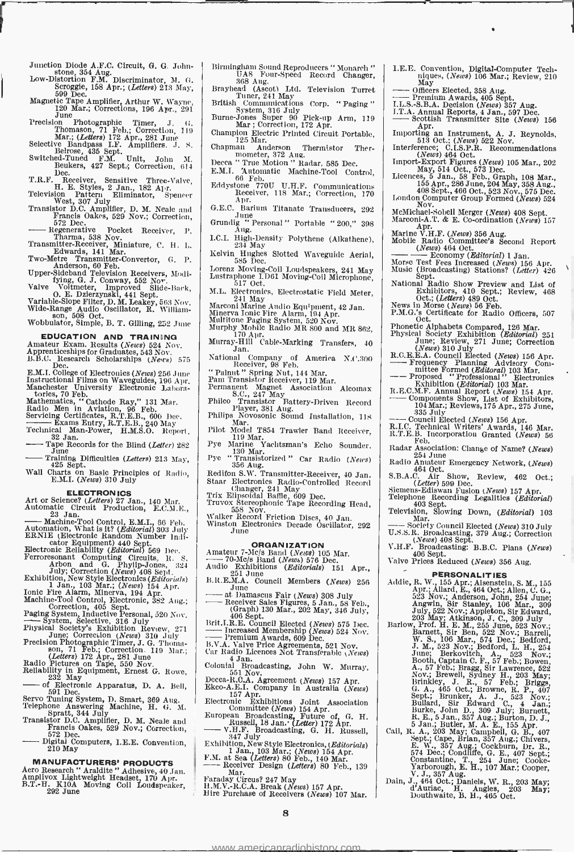Junction Diode A.F.C. Circuit, G. G. John-<br>stone, 354 Aug.<br>Low-Distortion F.M. Discriminator, M. G.<br>Scroggie, 158 Apr.; (Letters) 213 May,<br>599 Dec.

- 
- Magnetic Tape Amplifier, Arthur W. Wayne, 120 Mar.; Corrections, 196 Apr., 291 June
- Precision Photographic Timer, J. G.<br>Thomason, 71 Feb.; Correction, 119<br>Mar.; (Letters) 172 Apr., 281 June

- Selective Bandpass I.F. Amplifiers. J. S.<br>Betrose, 435 Sept. Unit, John M.<br>Beukers, 427 Sept.; Correction, 614<br>Dec.
- T.R.F. Receiver, Sensitive Three-Valve, H. E. Styles, 2 Jan., 182 Apr. Television Pattern Eliminator, Spencer West 307 July Transistor D.C. Amplifier, D. M. Neale and Francis Oakes, 529 Nov.; Correction, 572 Dec. The fra
- 
- 
- Regenerative Pocket Receiver, P. Tharma, 538 Nov. Transmitter -Receiver, Miniature, C. H. L. Edwards, 141 Mar. Two -Metre Transmitter- Convertor, G. P.
- 
- Anderson, 60 Feb.<br>
Upper-Sideband Television Receivers, Modi-<br>
Valve Voltmeter, Improved Slide-Back,<br>
Variable-Slope Filter, D. M. Leakey, 563 Nov.<br>
Variable-Slope Filter, D. M. Leakey, 563 Nov.

Wide-Range Audio Oscillator, R. William-<br> $\frac{1}{2}$  with  $\frac{508}{2}$  Oct.

Wobbulator, Simple, B. T. Gilling, 252 June

- EDUCATION AND TRAINING Amateur Exam. Results (News) 524 Nov. Apprenticeships for Graduates, 543 Nov.
- $B.B.C.$  Research Scholarships (News) 575
- E.M.I. College of Electronics (News) 256 June<br>Instructional Films on Waveguides, 196 Apr.<br>Manchester University Electronic Labora-<br>tories, 70 Feb.
- Mathematics, " Cathode Ray," 131 Mar.<br>Radio Men in Aviation, 96 Feb.
- 
- 
- 
- Servicing Certificates, R.T.E.B., 600 Dec.<br>Servicing Certificates, R.T.E.B., 240 May<br>Technical Man-Power, H.M.S.O. Report,<br>32 Jan.<br>- 32 Jan.<br>Tape Records for the Blind (*Letter*) 282<br>- June Difficulties (*Letter*) 213 May Technical Man-Power, H.M.S.O. Report<br>Technical Man-Power, H.M.S.O. Report.<br> $-2000$  June ecords for the Blind (*Letter*) 282<br> $-$  June ecords for the Blind (*Letters*) 213 May,<br> $425$  Sept.<br>Wall (25 Sept. Recite Dirichles 4.
- 
- Training Difficulties (Letters) 213 May, 425 Sept. Training Difficulties (Letters) 213 May, Wall Charts on Basic Principles of Radio, E.M.I. (News) 310 July

- 
- ELECTRONICS<br>
Art or Science? (Letters) 27 Jan., 140 Mar.<br>
Automatic Circuit Production, E.C.M.E.,<br>
23 Jan.<br>
Automation, What is it? (Editorial) 303 July<br>
Automation, What is it? (Editorial) 303 July<br>
ERNIE (Electronic Rand
- cator Equipment) 440 Sept.<br>
Flectronic Reliability (Editorial) 569 hec.<br>
Ferroresonant Computing Circuits, R. S.<br>
Arbon and G. Phylip-Jones, 324<br>
July, Correction (News) 408 Sept.<br>
Exhibition, New Style Electronics (Edito
- 
- 
- 
- 
- 
- 
- 
- 
- 
- 
- 
- Servo Tuning System, D. Smart, 369 Aug.<br>
Servo Tuning System, D. Smart, 369 Aug.<br>
Telephone Answering Machine, H. G. M.<br>
Spratt, 344 July<br>
Transistor D.C. Amplifier, D. M. Neale and<br>
Francis Oakes, 529 Nov.; Correction,<br>
5 572 Dec.<br>Digital Computers, I.E.E. Convention,

MANUFACTURERS' PRODUCTS<br>Aero Research " Araldite " Adhesive, 40 Jan.<br>Amplivox Lightweight Headset, 170 Apr.<br>B.T.-H. K10A Moving Coil Loudspeaker, 292 June

- 
- 
- Tuner, 241 May<br>British Communications Corp. " Paging "
- System, 316 July<br>Burne-Jones Super 90 Pick-up Arm, 119<br>Mar ; Correction, 172 Apr.<br>Champion Electric Printed Circuit Portable,<br> $125$  Mar.
- 
- 
- 
- Chapman Anderson Thermistor Ther-<br>
mometer, 372 Aug.<br>
Decca " True Motion " Radar, 585 Dec.<br>
E.M.I. "Automatic Machine-Tool Control, 68 Feb. (68 Feb. 118 Fectiver, 100 Apr.<br>
Receiver, 118 Mar.; Correction, 170 Apr.
- 
- G.E.C. Barium Titanate Transducers, 292<br>June : Personal " Portable " 200," 398<br>Aug. Iune<br>
Grundig "Personal" Portable "200," 398<br>
L.C.L High-Density Polythene (Alkathene),<br>
234 May
- 
- Kelvin Hughes Slotted Waveguide Aerial, 585 Dec.
- Lorenz Moving-Coil Loudspeakers, 241 May Lustraphone LD61 Moving-Coil Microphone,<br>517 Oct.<br>M.L. Electronics, Electrostatic Field Meter.
- 
- 
- 
- 241 May Mecolook Pield Retel,<br>Marcon Marine Audio Boulyment, 42 Jan.<br>Minerva Jonic Fire Alarm, 194 Apr.<br>Multitone Paging System, 520 Nov.<br>Murphy Mobile Radio MR 800 and MR 862,<br>Murray-Hill Cable-Marking Transfers, 40<br>Jan.
- 
- National Company of America N.C.300<br>Receiver, 98 Feb.
- 
- " Palnnt " Spring Nut, 144 Mar. Pam Transistor Receiver, 119 Mar. Permanent Magnet Association Alcomax
- 
- Philco Transistor Battery-Driven Record<br>Player, 381 Aug. Philips Novosonic Sound Installation, 118<br>Mar. Philot Model T854 Trawler Band Receiver,
- Pilot Model T854 Trawler Band Receiver, 119 Mar.
- Pye Marine Yachtsman's Echo Sounder, 130 Mar.
- Pye " Transistorized " Car Radio (News) 356 Aug.<br>
Redifon S.W. Transmitter-Receiver, 40 Jan.
- Staar Electronics Radio-Controlled Record<br>
Changer, 241 May<br>
Changer, 241 May<br>
Trix Elipsoidal Baffle, 609 Dec.<br>
Truvox Stereophonic Tape Recording Head,<br>
Changer Changer Changer Recording Head,
- Truvox Stereophonic Tape Recording Head, 558 Nov.
- Walker Record Friction Discs, 40 Jan. Winston Electronics Decade Oscillator, 292 June
- 

### ORGANIZATION

- 
- WHEAM ELECTORICS DECART CONSULTED THE CONSULTED AMARROR CONSULTED AND  $\frac{100 \text{ Na}}{100 \text{ Kshibitions}}$  (Editorials) 151 Apr.,  $\frac{251 \text{ Jun}}{1 \text{ m/s}}$
- 
- B.R.E.M.A. Council Members (News) 256 June at Damascus Fair (News) 308 July Receiver Sales Figures, 5 Jan., 58 Feb., (Graph) 130 Mar., 202 May, 346 July, 406 Sept. Brit.I.R.E. Council Elected (News) 575 Dec. Increased Membership (News) 524 Nov. Premium Awards, 609 Dec.
- 
- 
- B.V.A. Valve Price Agreements, 521 Nov.<br>Car Radio Licences Not Transferable (*News*)
- Colonial Broadcasting, John W. Murray, 551 Nov.
- 
- 
- 
- Decca-R.C.A. Agreement (News) 157 Apr.<br>Ekco-A.E.I. Company in Australia (News)<br>157 Apr.<br>Electronic Exhibitions Joint Association<br>Committee (News) 154 Apr.<br>European Broadcasting, Future of, G. H.<br>Russell, 18 Jan. (Letter) 1
- 
- Exhibition, New Style Electronics, (Editorials)<br>
1 Jan., 103 Mar.; (News) 154 Apr.<br>
F.M. at Sea (Letters) 80 Feb., 140 Mar.<br>
 Receiver Design (Letters) 80 Feb., 139<br>
Mar.<br>
Mar.
- 
- Faraday Circus? 247 May<br>H.M.V.-R.C.A. Break (News) 157 Apr. Hire Purchase of Receivers (News) 107 Mar.  $\begin{bmatrix} 1 & 0 & 0 \\ 0 & 1 & 0 \\ 0 & 0 & 1 \end{bmatrix}$

<www.americanradiohistory.com>

- Birmingham Sound Reproducers " Monarch " <br>
17.E.E. Convention, Digital-Computer Tech-<br>
368 Aug. 368 Aug. Brayhead (Ascot) Ltd. Television Turret May be Micers Elected, 358 Aug. niques, (News) 106 Mar.; Review, 210<br>May
	-
	-
	- $\frac{1}{\sqrt{100}}$  Officers Elected, 358 Aug.<br>Premium Awards, 405 Sept.<br>I.L.S. -S.B.A. Decision (News) 357 Aug.<br>I.T.A. Annual Reports, 4 Jan., 597 Dec.
	- Scottish Transmitter Site (News) 156
	- Apr. Importing an Instrument, A. J. Reynolds, 613 Oct.: (News) 622 Nov. Interference; C.I.S.P.R. Recommendations 464 Oct.
	- Import-Export Figures (*News*) 105 Mar., 202<br>May, 514 Oct., 573 Dec.<br>Licences, 5 Jan., 58 Feb., Graph, 108 Mar.,<br>155 Apr., 286 June, 204 May, 358 Aug.,<br>408 Sept., 466 Oct., 523 Nov., 575 Dec.<br>London Computer Group Formed (

London Computer Group Formed (News) 524<br>McMichael-Sobell Merger (News) 408 Sept.<br>Marconi-A.T. & E. Co-ordination (News) 157

Marine V.H.F. (News) 356 Aug.<br>
Marine V.H.F. (News) 356 Aug.<br>
Mobile Radio Committee's Second Report<br>
(News) 464 Oct.<br>
- Economy (Editorial) 1 Jan.

Oct.; (Letters) 489 Oct. News in Morse (News) 56 Feb. P.M.G.'s Certificate for Radio Officers, 507<br>Oct.

Frace Test Fees Increased (News) 156 Apr.<br>
Music (Broadcasting) Stations? (Letter) 426<br>
Sept.<br>
Sept.<br>
Mational Radio Show Preview and List of<br>
Exhibitors, 410 Sept.; Review, 468

Phonetic Alphabets Compared, 126 Mar.<br>
Physical Society Exhibition (Editorial) 251<br>
June; Review, 271 June; Correction<br>
(News) 310 July<br>
271 June; Correction<br>
R.C.E.E.A. Council Elected (News) 156 Apr.<br>
Frequency Planning

Radar Association: Change of Name? (News) 254 June Radio Amateur Emergency Network, (News) S.B.A.C. Air Show, Review, 462 Oct.;<br>(*Letter*) 599 Dec.

Siemens-Ediswan Fusion (News) 157 Apr.<br>Telephone Recording Legalities (*Editorial*)<br>403 Sept. Slowing Down, (*Editorial*) 103<br>Television, Slowing Down, (*Editorial*) 103

(*News*) 408 Sept. V. F. Broadcasting: B.B.C. Plans (*News*)<br>V.H.F. Broadcasting: B.B.C. Plans (*News*)<br>Valve Prices Reduced (*News*) 356 Aug.

Society Council Elected (News) 310 July U.S.S.R. Broadcasting, 379 Aug.; Correction

**PERSONALITIES**<br>
Addie, R. W., 155 Apr., Alsenstein, S. M., 155<br>
Apr., Allard, E., 464 Oct.; Allen, C. G.,<br>
523 Nov.; Anderson, John, 254 June;<br>
Angwin, Sir Stanley, 106 Mar., 309<br>
July, 522 Nov.; Appleton, Sir Edward,<br>
20

Nov.; Brewell, Sydney H., 203 May;<br>
Brinkley, J. R., 57 Feb.; Briggs, G. A., 465 Oct.; Browne, R. P., 407<br>
Sept.; Brunker, A. J., 523 Nov.;<br>
Bullard, Sir Edward C., 4 Jan.;<br>
Bullard, Sir Edward C., 4 Jan.;<br>
Burke, John D.,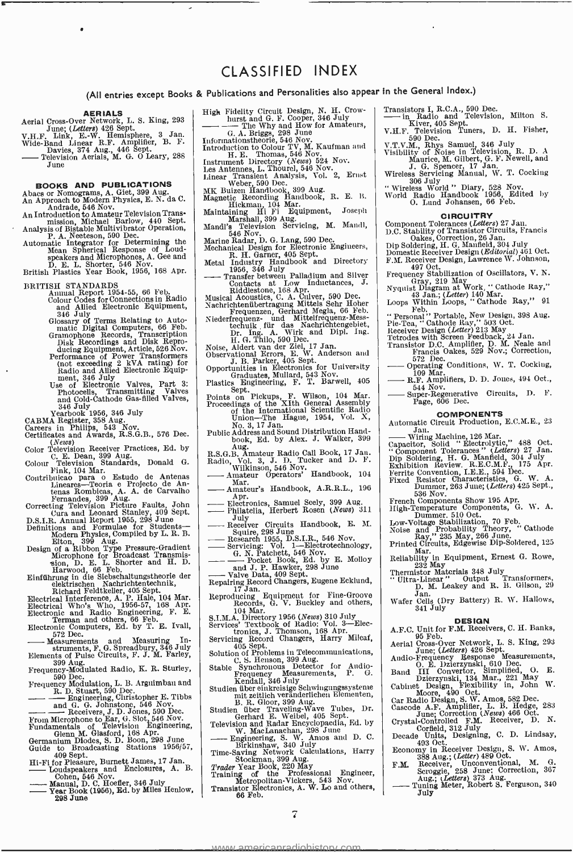## CLASSIFIED INDEX

(All entries except Books & Publications and Personalities also appear in the General Index.)

Aerial Cross-Over Network, L. S. King, 293<br>
June; (Letters) 426 Sept.<br>
V.H.F. Link, E.-W. Hemisphere, 3 Jan.<br>
Wide-Band Linear R.F. Amplifier, B. F. In

Actrial Unit, E. W. Hemisphere, 3 Jan.<br>
Vide-Band Linear R.F. Amplifier, 3 Jan.<br>
Wide-Band Linear R.F. Amplifier, B.F.<br>
Davies, 374 Aug., 446 Sept.<br>
— Television Aerials, M. G. O Leary, 288<br>
June

### BOOKS AND PUBLICATIONS

Abacs or Nomograms, A. Gfet, 399 Aug. An Approach to Modern Physics, E. N. da C. Andrade, 546 Nov.

An Introduction to Amateur Television Trans-<br>
mission, Michael Barlow, 440 Sept.<br>
Analysis of Bistable Multivibrator Operation,<br>
P. A. Neeteson, 590 Dec.<br>
Automatic Integrator for Determining the<br>
Mean Spherical Response o

- 
- 
- 
- 
- BRITISH STANDARDS<br>
Annual Report 1954-55, 66 Feb.<br>
Colour Codes for Connections in Radio<br>
and Allied Electronic Equipment,<br>
346 July<br>
Glossary of Terms Relating to Auto-<br>
matic Digital Computers, 66 Feb.<br>
manophone Records
- 
- 
- 
- Color Television Receiver Practices, Ed. by C. E. Dean, 399 Aug.
- 
- Colour Television Standards, Donald G. Radio, Vol.<br>
Finik, 104 Mar.<br>
Lineares—Teoria e Projecto de Antenas Lineares—Teoria e Projecto de Antenas Lineares—Teoria e Projecto de Antenas Rombicas, 30 Aug.<br>
Franands, 309 Aug.<br>
- 
- 
- 
- 

- Electronic and Radio Engineering, F. E.<br>Electronic and Radio Engineering, F. E.<br>Hertronic Computers, 66 Feb.<br>Electronic Computers, Ed. by T. E. Ivall,<br>Measurements and Measuring In-<br>struments, F. G. Spreadbury, 346 July<br>Me
- struments, F. G. Spreadbury, 346 July<br>
Elements of Pulse Circuits, F. J. M. Farley,<br>
590 Aug.<br>
Frequency-Modulated Radio, K. R. Sturley, S6<br>
590 Dec.<br>
Frequency Modulation, L. B. Arguimbau and
- 
- 
- 
- 
- - R. D. Stuart, 5i 0 Dec. Engineering, Christopher E. Tibbs and G. G. Johnstone, 546 Nov. -- Receivers, J. D. Jones, 590 Dec. From Microphone to Ear, G. Slot, 546 Nov. Fundamentals of Television Engineering, Glenn M. Glasford, 168 Apr. Germanium Diodes, S. D. Boon, 298 June Guide to Broadcasting Stations 1956 /57,
- Germanium Diodes, S. D. Boon, 298 June<br>
Guide to Broadcasting Stations 1956/57,<br>
409 Sept.<br>
Hi-Fi for Pleasure, Burnett James, 17 Jan.<br>
 Loudspeakers and Enclosures, A. B.<br>
Cohen, 546 Nov.<br>
 Meanual C. Hoefler 346 July
- 
- Hi-Fi for Pleasure, Burnett James, 17 Jan. B.<br>
 Loudspeakers and Enclosures, A. B.<br>
 Manual, D. C. Hoefier, 346 July<br>
 Manual, D. C. Hoefier, 346 July<br>
 Year Book (1956), Ed. by Miles Henlow, 298 June
- 

- 
- Publications and Personalities also appear in<br>
High Fidelity Circuit Design, N. H. Crow-<br>
hurst and G. F. Cooper, 346 July<br>  $\longrightarrow$  The Why and How for Amateurs,<br>  $G$ . A. Briggs, 298 June<br>
Informationstheorie, 546 Nov.<br>
Intr
- 
- 
- Weber, 590 Dec.<br>MK Buizen Handbook, 399 Aug.
- 
- 
- Magnetic Recording Handbook, R. E. B.<br>
Maintaining Hi Fi Equipment, Joseph Marshall, 399 Aug.<br>
Maintaining Hi Fi Equipment, Joseph Mandl's Television Servicing, M. Mandl, 546 Nov.<br>
Marine Radar, D. G. Lang, 590 Dec.<br>
Mecha
- 
- 
- 
- 
- 
- Mechanical Design for Electronic Engiueers,<br>
Mechanical Design for Electronic Engiueers,<br>
Retal Industry Handbook and Directory<br>
Franker Handbook and Directory<br>
Transfer between Palladium and Silver<br>
Transfer between Palla
	-
- 
- 
- 
- Proceedings of the XIth General Assembly<br>
of the International Scientific Radio<br>
Union—The Hague, 1954, Vol. X,<br>
No. 3, 17 Jan.<br>
Public Address and Sound Distribution Hand-<br>
book, Ed. by Alex. J. Walker, 399<br>
Aug.<br>  $\begin{bmatrix}\$
- 
- R.S.G.B. Amateur Radio Call Book, 17 Jan. (1986)<br>Radio, Vol. 3, J. D., Tucker and D. F. (1986) - Wilkinson, 546 Nov.
- 
- Amateur Operators' Handbook, 104 Mar. Amateur's Handbook, A.R.R.L., 196 Mar.<br>Amateur's Handbook, A.R.R.L., 196<br>Apr.<br>Electronics, Samuel Seely, 399 Aug.<br>Philatelia, Herbert Rosen (News) 311<br>July
- 
- Amateurs Handbook, Historics, Samuel Scely, 399 Aug.<br>
 Electronics, Samuel Scely, 399 Aug.<br>
 July<br>
 Receiver Circuits Handbook, E. M.<br>
Squire 298 June<br>
 Squire 298 June<br>
 Squire 298 June The 1988 June 1955 D.S.I.R., 546 Nov. - Servicing: Vol. 1-Blectrotechnology, G. N. Patchett, 546 Nov. - Servicing: Vol. 1-Blectrotechnology, G. N. Patchett, 546 Nov. - Pocket Book, Ed. by E. Molloy and J.P. Hawker, 298 Jun
- 
- 
- Servicing: Vol. 1—Electrotechnology,<br>
G. N. Patchett, 546 Nov.<br>
and J. P. Hawker, 298 June<br>
Palve Data, 409 Sept.<br>
Repairing Record Changers, Eugene Ecklund,<br>
17 Jan.
- 
- Reproducing Equipment for Fine Groove Records, G. V. Buckley and others,
- 104 Mar.
- 
- S.I.M.A. Directory 1956 (*News*) 310 July<br>Services' Textbook of Radio: Vol. 3—Electorics, J. Thomson, 168 Apr.<br>Servicing Record Changers, Harry Milcaf,<br>405 Sept.<br>Solution of Problems in Telecommunications,<br>C. S. Henson, 39
- 
- Stable Synchronous Detector for Audio-<br>Frequency Measurements, P. G. Kendall, 346 July
- 
- Studien über einkreisige Schwingungssysteme<br>mit zeitlich veränderlichen Elementen,<br>B. R. Gloor, 399 Aug.<br>Studien über Traveling -Wave Tubes, Dr.<br>Gerhard E. Weibel, 405 Sept.<br>Television and Radar Encyclopaedia, Ed. by B. K. Guior, 399 Aug.<br>
The Cenhard E. Weibel, 405 Sept.<br>
Genhard E. Weibel, 405 Sept.<br>
Certain and Radar Encyclopaedia, Ed. by<br>
W. MacLanachan, 298 June<br>
W. MacLanachan, 298 June<br>
W. MacLanachan, 298 June<br>
The Engineering,
- 
- 
- 
- 
- 
- $\overline{\mathbf{z}}$

americanradiohistory

- In the General Index.)<br>Transistors I, R.C.A., 590 Dec.<br>— in Radio and Television, Milton S.<br>V.U. V. Ware, 405 Sept.
- 
- 
- V.H.F. Television Tuners, D. H. Fisher,<br>590 Dec.<br>V.T.V.M., Rhys Samuel, 346 July<br>Visibility of Noise in Television, R. D. A<br>Maurice, M. Gilbert, G. F. Newell, and<br>Maurice, M. Gilbert, G. F. Newell, and
- J. G. Spencer, 17 Jan.<br>Wireless Servicing Manual, W. T. Cocking<br>"Wireless World " Diary, 528 Nov.<br>"Wireless World " Diary, 528 Nov.
- World Radio Handbook 1956, Edited by O. Lund Johansen, 66 Feb.
- 

- **CIRCUITRY**<br>
Component Tolerances (Letters) 27 Jau.<br>
D.C. Stability of Transistor Circuits, Francis<br>
Dip Soldering, H. G. Manfield, 304 July<br>
Dip Soldering, H. G. Manfield, 304 July<br>
Domestic Receiver Design, Lewtence W. J
- 
- 
- 497 Oct. Frequency Stabilization of Oscillators, V. N.
- Gray, 219 May<br>Strain at Work, " Cathode Ray,"<br>Nyquist Diagram at Work, " Cathode Ray,"<br>Loops Within Loops, " Cathode Ray," 91 Loops Within Loops, "Cathode Ray," 91<br>
"Person, Peb.<br>
"Personal" Portable, New Design, 398 Aug.<br>
Pie-Tea, "Cathode Ray," 503 Oct.<br>
Receiver Design (Letter) 213 May<br>
Tetrodes with Screen Feedback, 24 Jan.<br>
Transistor D.C. A

Operating Conditions, W. T. Cocking,

 $R_{\text{R}}$ . Amplifiers, D. D. Jones, 494 Oct., 544 Nov. - Operating Conditions, W. T. Cocking,<br>
109 Mar.<br>
R.F. Amplifiers, D. D. Jones, 494 Oct.,<br>
544 Nov.<br>
544 Nov.<br>
- Super-Regenerative Circuits, D. F.<br>
Page, 606 Dec.

**COMPONENTS**<br>Automatic Circuit Production, E.C.M.E., 23

rage, 600 Dec.<br>
Automatic Circuit Production, E.C.M.E., 23<br>
— Wiring Machine, 126 Mar.<br>
Capacitor, Solid "Electrolytic," 488 Oct.<br>
Component Tolerances" (*Letters*) 27 Jan.<br>
Dip Soldering, H. G. Manfield, 304 July<br>
Exhibit

Dummer, 263 June; (Letters) 425 Sept.,<br>
1586 Nov.<br>
French Components Show 195 Apr.<br>
High-Temperature Components, G. W. A.<br>
Low-Voltage Stabilization, 70 Feb.<br>
Noise and Probability Theory, "Cathode<br>
Ray," 235 May, 266 June

Wafer Cells (Dry Battery) R. W. Hallows, 341 July

**DESIGN**<br>A.F.C. Unit for F.M. Receivers, C. H. Banks,<br>95 Feb.

Aerial Cross-Over Network, L. S. King, 293<br>
Andio-Frequency Resports. L. S. King, 293<br>
June; (Letters) 426 Sept. Bosnes Measurements,<br>
O. E. Dzierzynski, 610 Dec.<br>
Dietzvarski, 134 Mar., 221 May<br>
Dietzvarski, 134 Mar., 221

- 572 Dec.

- 109 Mar.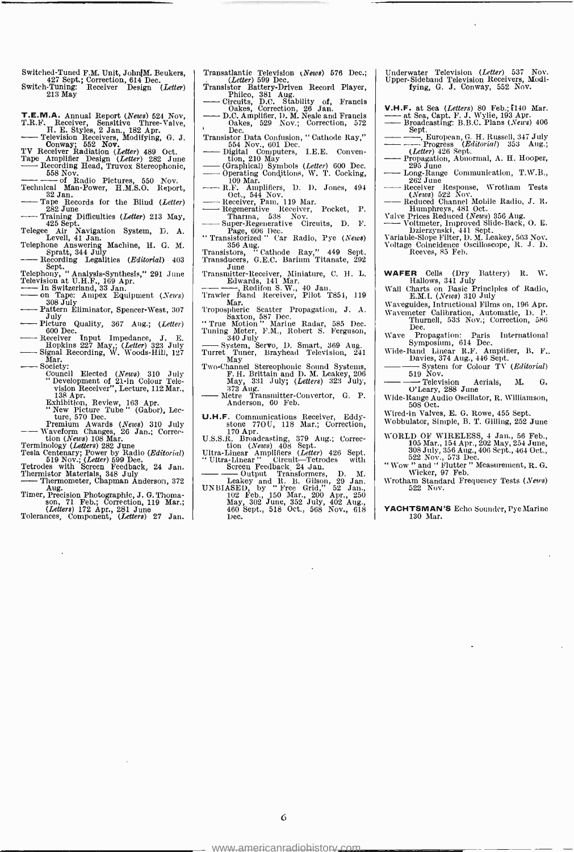- Switched-Tuned F.M. Unit, John[M. Beukers, 427 Sept.; Correction, 614 Dec.
- Switch-Tuning: Receiver Design (Letter)<br>213 May
- 
- T.E.M.A. Annual Report (News) 624 Nov, T.R.F. Receiver, Sensitive Three-Valve, H. E. Styles, 2 Jan., 182 Apr. Television Receivers, Modifying, G. J. 552 Nov. Theorem Conway', Receiver Conway', Receiver Conway', Receiver Co

- 
- The Evision Receivers, Modifying, G. J.<br>
Conway; 552 Nov.<br>
Conway; 552 Nov.<br>
TV Receiver Radiation (Letter) 489 Oct.<br>
The Amplifier Design (Letter) 282 June<br>
Recording Head, Truvox Stereophonic,<br>
558 Nov.<br>
Sa Lecture of Pa Exercity Radiation (Letter) 489 Oct.<br>
Amplifier Design (Letter) 282 June<br>
Recording Head, Truvox Stereophonic,<br>
558 Nov.<br>
558 Nov.<br>
1ical Man-Power, H.M.S.O. Report,
- of Radio Pictures, 550 Nov.
- Technical Man-Power, H.M.S. Steelephonne,<br>
Technical Man-Power, H.M.S.O. Report,<br>
32 Jan.<br>
32 Jan.<br>
232 June Difficulties (Letter)<br>
232 June Difficulties (Letter)<br>
232 June Difficulties (Letter) Technical Man-Power, H.M.S.O. Report,<br>  $\frac{32}{240}$ .<br>
Tape Records for the Blind (*Letter*)<br>  $\frac{282}{100}$  Difficulties (*Letter*) 213 May,<br>  $\frac{425}{25}$  Sept.<br>
Telegas by Neutralian System Form Form and Contract the Blog
- 
- Training Difficulties (Letter) 213 May,<br>
425 Sept. Telegee Air Navigation System, D. A.<br>
Telegee Air Navigation System, D. A.
- Telegee Air Navigation System, D. A. Levell, 41 Jan.<br>Telephone Answering Machine, H. G. M. Spratt, 344 July<br>-- Spratt, 344 July Recording Legalities (Editorial) 403<br>Telephone (Anglunia Synthesis (201 June 1991)
- Sept. Telephony, " Analysis- Synthesis," 291 June Telephony, "Ar U.H.F., 169 Apr. In Sept.<br>
Telephony, "Analysis-Synthesis," 291 June<br>
Television at U.H.F., 169 Apr.<br>
- In Switzerland, 33 Jan.<br>
- on Tape: Ampex Equipment (News)<br>
308 July<br>
- Pattern Eliminator, Spencer-Wes
- 
- 
- 
- 
- Receiver Input Impedance, J. E. Ficture Quality, 367 Aug.; (Letter)<br>
600 Dec.<br>
Hopkins 227 May,; (Letter) 323 July<br>
Signal Recording, W. Woods-Hill, 127<br>
Signal Recording, W. Woods-Hill, 127<br>
Mar.<br>
Society:<br>
Council Elected (News) 310 July<br>
"Quarent of
- 
- Society:<br>
Council Elected (News) 310 July<br>
Council Elected (News) 310 July<br>
"Development of 21-in Colour Tele-<br>
visitom Receiver", Lecture, 112 Mar.,<br>
138 Apr.<br>
"Kew Ficture Tube" (Gabor), Lecture, 570 Dec.<br>
"New Ficture T
	-
	-
- 
- 
- 
- 
- Feminology (Leaders) 282 Julie 1989 Dec.<br>
Tesla Centenary; Power by Radio (Editorial)<br>
[10 Nov.; (Ledter) 599 Dec.<br>
Thermistor Materials, 348 July<br>
——Thermometer, Chapman Anderson, 372<br>
Timer, Precision Photographic, J. G.
- 
- (Letters) 172 Apr., 281 June Tolerances, Component, (Letters) 27 Jan.
- Transatlantic Television (News) 576 Dec.;<br>(Letter) 599 Dec. (Letter) 699 Dec. Transatlantic Television (News) 576 Dec.;<br>
Transistor Battery-Driven Record Player,<br>
Philco, 381 Aug.<br>
— Circuits, D.C. Stability of, Francis<br>
Calces, Correction, 26 Jan.<br>
D.C. Annulfier D.M Neals and Francis
- Translator Battery-Driven Record Player,<br>
Philco, 381 Aug.<br>
Cricuits, D.C. Stability of, Francis<br>
Cakes, Correction, 26 Jan.<br>
D.C. Amplifier, D.M. Neale and Francis<br>
Oakes, 529 Nov.; Correction, 572
- 
- Oakes, 529 Nov.; Correction, 572<br>
Dec.<br>
Transistor Data Confusion, "Cathode Ray,"<br>
554 Nov., 601 Dec.<br>
 Digital Computers, I.E.E. Conven-<br>
tion, 210 May<br>
 (Graphical) Symbols (*Letter*) 600 Dec.
- 
- Operating Conditions, W. T. Cocking, 109 Mar.
- 
- Amplifiers, D. D. Jones, 494<br>
Oct., 544 Nov.<br>
Regenerative Receiver, Pam, 119 Mar.<br>
Regenerative Receiver, Pocket, P.<br>
Tharma, 538 Nov.<br>
Super-Regenerative Circuits, D. F.<br>
Super-Regenerative Circuits, D. F.<br>
"Transistoriz
- 
- 
- 356 Aug.<br>
Transistors, " Cathode Ray," 449 Sept.<br>
Transducers, G.E.C. Barium Titanate, 292
- June Transmitter -Receiver, Miniature, C. H. L. Transistors, G.E.C. Barium Titanate,<br>Transiducers, G.E.C. Barium Titanate,<br>Transmitter-Receiver, Miniature, C. H.<br>
Edwards, 141 Mar.<br>
Redifion S.W., 40 Jan.<br>Trawler, Band Receiver, Pilot T851,
- Trawler Band Receiver, Pilot T851, 119 Mar.
- 
- Tropospheric Scatter Propagation, J. A.<br>
Saxton, 587 Dec.<br>
"True Motion " Marine Radar, 585 Dec.<br>
Tuning Meter, F.M., Robert S. Ferguson,
- 
- 3400 Maxton, S87 Dec.<br>
"True Motion" Marine Radar, 585 Dec.<br>
Tuning Meter, F.M., Robert S. Ferguson,<br>
340 July<br>
Turret Tuner, Brayhead Television, 241<br>
May<br>
Two-Channel Stereophonic Sound Systems,<br>
F. H. Brittain and D.
- May, 331 July; (Letters) 323 July; (Letters) 323 July; (Letters) 323 July; (Letters) 323 July; (Letters) 323 July; (Letters) 323 July; (Letters) 323 July; (Letters) 323 July; (Letters) 323 July; (Letters) 323 July; (Letter
- Anderson, 60 Feb.
- U.H.F. Communications Receiver, Eddy-<br>stone 77OU, 118 Mar.; Correction,<br>U.S.S.R. Broadcasting, 379 Aug.; Correc-
- 
- tion (News) 408 Sept. Ultra -Linear Amplifiers (Letter) 426 Sept. " Ultra- Linear " Circuit Tetrodes with - Screen Feedback, 24 Jan.
- Output Transformers, D. M. Leakey and R. B. Gilson, 29 Jan.
- UNBIASED, by " Free Grid," 52 Jan., 102 Feb., 150 Mar., 200 Apr., <sup>250</sup> May, 302 June, 352 July, 402 Aug., 460 Sept., 518 Oct., 568 Nov., 618 Dec.
- Underwater Television (Letter) 537 Nov.<br>Upper-Sideband Television Receivers, Modi-<br>fying, G. J. Conway, 552 Nov.
- V.H.F. at Sea (Letters) 80 Feb.; [140 Mar.<br>--- at Sea, Capt. F. J. Wylie, 193 Apr.<br>---- Broadcasting: B.B.C. Plans (News) 406 **V.H.F.** at Sea (Letters) 80 Feb.; [140 Mar.<br>
at Sea, Capt. F. J. Wylie, 193 Apr.<br>
Broadcasting: B.B.C. Plans (News) 406-<br>
Sept.<br>
<u>Bropean, G. H. Russell, 347 July</u><br>
<u>Cletter) 426</u> Sept.<br>
(Letter) 426 Sept.<br> **D. H. Russel**
- $\frac{\text{Set}}{\text{Set}}$ . European, G. H. Russell, 347 July<br>
Progress (Editorial) 353 Aug.;<br>
Progress (Editorial) 353 Aug.;<br>
Propagation, Abnormal, A. H. Hooper,<br>
295 June
- 
- 
- 
- 295 June<br>
 Long-Range Communication, T.W.B.,<br>
262 June<br>
 Receiver Response, Wrotham Tests<br>
(News) 522 Nov.<br>
 Reduced Channel Mobile Radio, J. R.<br>
Humphreys, 481 Oct.<br>
Valve Prices Reduced (News) 356 Aug.<br>
Valve Prices R
- 
- Dzierzynski, 441 Sept.<br>Variable-Slope Filter, D. M. Leakey, 563 Nov.<br>Voltage Coincidence Oscilloscope, R. J. D.<br>Reeves, 85 Feb.
- WAFER Cells (Dry Battery) R. W. Hallows, 341 July
- Wall Charts on Basic Principles of Radio, E.M.I. (News) 310 July
- Waveguides, Intructional Films on, 196 Apr. Wavemeter Calibration, Automatic, D. P. Thurnell, 533 Nov.; Correction, 586 Dec.
	-
- Wave Propagation: Paris International Symposium, 614 Dec. Wide -Band Linear R.F. Amplifier, B. F..
- Wave Propagation: Paris Internat<br>
Symposium, 614 Dec.<br>
Wide-Band Linear R.F. Amplifier, F<br>
Davies, 374 Aug., 446 Sept.<br>
 System for Colour TV (Edit.<br>
519 Nov.
- System for Colour TV (*Editorial*)<br>519 Nov.<br>Colour TV (*Editorial*)<br>Colleary, 288 June
- Wide -Range Audio Oscillator, R. Williamson, 508 Oct.
- 
- Wired -in Valves, E. G. Rowe, 455 Sept. Wobbulator, Simple, B. T. Gilling, 252 June
- WORLD OF WIRELESS, 4 Jan., 56 Feb., 105 Mar., 154 Apr., 202 May, 254 June, 308 July, 356 Aug., 406 Sept., 464 Oct., 522 Nov., 573 Dec.<br>
"Wow "and " Flutter " Measurement, R. G. Wicker, 97 Feb.
- 
- Wrotham Standard Frequency Tests (News) 522 Nov.

YACHTSMAN'S Echo Sounder, Pye Marine 130 Mar.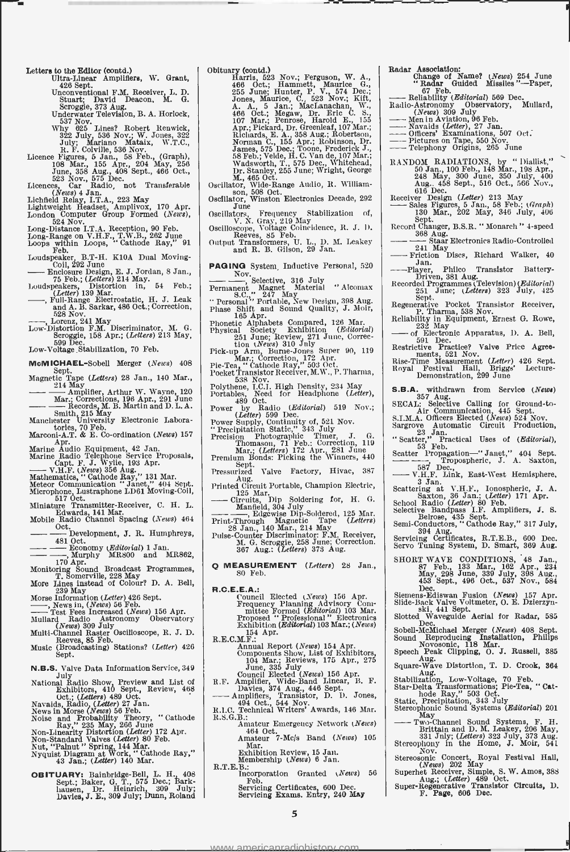Letters to the Editor (contd.)

- Ultra-Linear Amplifiers, W. Grant, 426 Sept. 426 Sept. Unconventional F.M. Receiver, L. D.
- Stuart; David Deacon, M. G. Scroggie, 373 Aug. Underwater Television, B. A. Horlock,
- $537$  Nov.  $925$  Lines? Robert Renwick,<br> $322$  July, 536 Nov.; W. Jones, 322<br>July, Mariano Mataix, W.T.C.,<br>R. E. Colville, 536 Nov.<br>Elience Figures, 5 Jan., 58 Feb., (Graph),<br>Idence Har, 155 Apr., 204 May, 256<br>June, 358 Au
- 
- 

- (News) 4 Jan. (News) 4 Jan. (1988)<br>
Lightweight Headset, Amplivox, 170 Apr.<br>
London Computer Group Formed (News),<br>
Long-Distance I.T.A. Reception, 90 Feb. (1988)
- 
- 
- 
- Loops Range on V.H.F., T.W.B., 262 June<br>
Loops within Loops, "Cathode Ray," 91<br>
Feb.<br>
Coil, 292 June<br>
Eb. (Letters) 214 May.<br>
 Enclosure Design, E. J. Jordan, 8 Jan.,<br>
75 Feb.; (Letters) 214 May.<br>
1920

Enclosure Design, E. J. Jordan, 8 Jan., 75 Feb.; (Letters) 214 May. Loudspeakers, Distortion in, 54 Feb.;

- $\frac{L}{L}$ <br>  $\frac{L}{L}$   $\frac{L}{L}$   $\frac{L}{L}$   $\frac{L}{L}$   $\frac{L}{L}$   $\frac{L}{L}$   $\frac{L}{L}$   $\frac{L}{L}$   $\frac{L}{L}$   $\frac{L}{L}$   $\frac{L}{L}$   $\frac{L}{L}$   $\frac{L}{L}$   $\frac{L}{L}$   $\frac{L}{L}$   $\frac{L}{L}$   $\frac{L}{L}$   $\frac{L}{L}$   $\frac{L}{L}$   $\frac{L}{L}$   $\frac{L}{L}$  - 528 Nov.
- ----, Lorenz, 241 May<br>Low-Distortion F.M. Discriminator, M. G. Scroggie, 158 Apr.; (*Letters*) 213 May,<br>599 Dec.<br>Low-Voltage Stabilization, 70 Feb.
- 

- McMICHAEL-Sobell Merger (News) 408 Sept.<br>Magnetic Tape (Letters) 28 Jan., 140 Mar.,
- 
- Magnetic Tape (*Letters*) 28 Jan., 140 Mar., Sept.<br>
Magnetic Tape (*Letters*) 28 Jan., 140 Mar., 20<br>  $\frac{214 \text{ May}}{\text{Marx}}$  Corrections, 196 Apr., 291 June<br>  $\frac{214 \text{ May}}{\text{Marx}}$  Corrections, 196 Apr., 291 June<br>  $\frac{214 \text{ May}}{\text{$
- 

- Marconi-A.T. & E. Co-ordination (News) 157<br>
Apr. dpr. declieration (News) 157<br>
Marine Audio Equipment, 42 Jan.<br>
Marine Audio Telephone Service Proposals,<br>
Capt. F. J. Wille, 193 Apr.<br>
Mathematics, "Calhode Ray," 131 Mar.<br>
- 
- 
- 
- Miniature Transmitter- Receiver, C. H. L. Edwards, 141 Mar.<br>Mobile Radio Channel Spacing (News) 464
- - Oct. ENWARDS, 191 *Ham*<br>
e Radio Channel Spacing (*News*) 464<br>
Oct.<br>
Development, J. R. Humphreys,<br>
481 Oct.<br>
Economy (*Editorial*) 1 Jan.<br>
7. Murphy MR800 and MR862,
- 481 Oct.<br>
 Economy (Editorial) 1 Jan.<br>
 Murphy MR800 and MR862,
- 
- Monitoring Sound Broadcast Programmes,<br>
T. Somerville, 228 May<br>
More Lines instead of Colour? D. A. Bell,<br>
239 May<br>
239 May
- 
- 
- 
- More Infess instead of Colour? D. A. Bell,<br>
239 May<br>
Infess Information (Letter) 426 Sept.<br>
--- Test Fees Increased (News) 156 Apr.<br>
Mullard Radio Astronomy Observatory<br>
(News) 309 July<br>
Multi-Channel Raster Oscilloscope,
- 
- Music (Broadcasting) Stations? (Letter) 426 Sept.
- 
- N.B.S. Valve Data Information Service, 349 July National Radio Show, Preview and List of Exhibitors, 410 Sept., Review, <sup>468</sup>
- 
- 
- 
- 
- Controller (Letters) 489 Oct.<br>
Yavaids, Radio, (Letters) 489 Oct.<br>
Navaids, Radio, (Letters) 489 Oct.<br>
News in Morse (News) 56 Feb.<br>
Noise and Probability Theory, "Cathode Ray," 235 May, 266 June<br>
Non-Linearity Distortion
- OBITUARY: Bainbridge -Bell, L. H. 408 Sept.; Baker, G. T., 575 Dec.; Bark hausen, Dr. 09 July' Davies, J. E., 309 July; Heinrich, Dunn, Roland

Obituary (contd.)<br>
Harris, 523 Nov.; Ferguson, W. A.,<br>
166 Oct.; Hammett, Maurice G.,<br>
255 June; Hunter, P. V., 574 Dec.;<br>
Jones, Maurice, C., 523 Nov.; Kift,<br>
A. A., 5 Jan.; MacLanachan, W.,<br>
466 Oct.; Megaw, Dr. Eric C.

Oscillator, Wide -Range Audio, R. William- son, 508 Oct. Oscillator, Winston Electronics Decade, 292

- 
- June Oscillators, Frequency Stabilization of, V. N. Gray, 219 May Oscilloscope, Voltage Coincidence, R. J. D. Reeves, 85 Feb. Output Transformers, U. L., D. M. Leakey and R. B. Gilson, 29 Jan.
- 
- 
- PAGING System, Inductive Personal, 520
- Nov. Selective, 316 July Permanent Magnet Material " Alcomax I<br>Permanent Magnet Material " Alcomax I<br>" Personal " Portable, New Design, 398 Aug.
- Phase Shift and Sound Quality, J. Moir,<br>Phase Shift and Sound Quality, J. Moir,<br>165 Apr.
- $\begin{tabular}{l l l l} \textbf{165 Apr.} & \textbf{166 Apr.} & \textbf{1679 MP.} & \textbf{168.} & \textbf{169.} & \textbf{169.} & \textbf{169.} & \textbf{169.} & \textbf{169.} & \textbf{169.} & \textbf{169.} & \textbf{169.} & \textbf{169.} & \textbf{169.} & \textbf{169.} & \textbf{169.} & \textbf{169.} & \textbf{169.} & \textbf{169.} & \textbf{169.} & \textbf{1$
- 
- 
- 
- 538 Nov.<br>
Polythene, I.C.I. High Density, 234 May<br>
Portables, Need for Headphone (Letter),
- 489 Oct. Power by Radio (Editorial) 519 Nov.; (Letter) 599 Dec. Power Supply, Continuity of, 521 Nov.
- 
- 
- " Precipitation Static," 343 July Precision Photographic Timer, J. G. Thomason, 71 Feb.: Correction, 119 Mar.; (Letters) 172 Apr. 281 June Premium Bonds: Picking the Winners, <sup>440</sup>
- Sept. Pressurized Valve Factory, Hivac, 387
- Aug.<br>Printed Circuit Portable, Champion Electric, Pressurized Valve<br>Printed Valve<br>Printed Circuit Porta<br>125 Mar.<br>—— Circuits, Dip<br>Manfield, 304<br>Edgards
- 
- 
- Circuits, Dip Soldering for, H. G. Manfleld, 304 July Edgewise Dip -Soldered, 125 Mar. Print -Through Magnetic Tape (Letters) 28 Jan., 140 Mar., 214 May Pulse -Counter Discriminator: F.M. Receiver, M. G. Scroggie, 258 June; Correction. 367 Aug.: (Letters) 373 Aug.
- Q MEASUREMENT (Letters) 28 Jan., 80 Feb.
- 
- R.C.E.E.A.: Council Elected (News) 156 Apr. Frequency Planning Advisory Com-<br>
Frequency Planning Advisory Com-<br>
mittee Formed (Editorial) 103 Mar.<br>
Proposed "Professional" Electronics<br>
Exhibition (Editorial) 103 Mar.; (New
- R.E.C.M.F.: Apr.
- Annual Report (News) 154 Apr.<br>
Components Show, List of Exhibitors,<br>
104 Mar.; Reviews, 175 Apr., 275<br>
June, 335 July<br>
R.F. Amplifier, Wide-Band Linear, B. F.<br>
R.F. Amplifier, Wide-Band Linear, B. F.
- 
- 
- June, 335 July<br>
June, 335 July<br>
R.F. Amplifier, Wide-Band Linear, B. F.<br>
R.F. Amplifiers, Transistor, D. D. Jones,<br>
2041 Oct., 544 Nov.<br>
494 Oct., 544 Nov.<br>
494 Oct., 544 Nov.<br>
R.I.C. Technical Writers' Awards, 146 Mar.<br>
R R.S.G.B.: Amateur Emergency Network (News)
	- 464 Oct.<br>
	Amateur 7-Mc/s Band (News) 105<br>
	Mar.
	- Exhibition Review, 15 Jan. Membership (News) 6 Jan.

www.americanradiohistory

R.T.E.B.: Incorporation Granted (News) 56 Incorporation Granted (News) 56<br>Feb. 6 He is 200 Feb. Servicing Certificates, 600 Dec.<br>Servicing Exams. Entry, 240 May

5

- Radar Association:<br>
Change of Name? (*News*) 254 June<br>
"Radar Guided Missiles "--Paper,<br>
<sup>27</sup> Feb Radar Association:<br>
Change of Name? (News) 254 June<br>
"Radar Guided Missiles"—Paper,<br>
67 Feb.<br>
Reliability (Editorial) 569 Dec.<br>
Radio-Astronomy Observatory, Mullard,<br>
Radio-Astronomy Observatory, Mullard,
- Reliability (*Baltionia)*<br>- Reliability (*Nationial*) 569 De<br>Radio-Astronomy Observatory,<br>- Men in Aviation, 96 Feb.<br>- Navaids (*Letter*), 97 Jan.<br>- Navaids (*Letter*), 97 Jan. Railo-Astronomy Observatory, Mullard,<br>
(News) 309 July<br>
-- Men in Aviation, 96 Feb.<br>
--- Mavaids (Letter), 27 Jan.<br>
---- Officers' Examinations, 507 Oct.<br>
---- Pictures on Tape, 550 Nov.<br>
----- Telephony Origins, 265 June
	-
- 
- 
- 
- RANDOM RADIATIONS, by " Diallist,"<br>50 Jan., 100 Feb., 148 Mar., 198 Apr.,<br>248 May, 300 June, 350 July, 400<br>Aug., 458 Sept., 516 Oct., 566 Nov.,  $616$  Dec. 248 May, 300 June, 350 July, 400<br>
Aug. 458 Sept., 516 Oct., 566 Nov.,<br>
ceiver Design (Letter) 213 May<br>
Receiver Design (Letter) 213 May<br>
130 Mar., 202 May, 346 July, 406<br>
Record Changer, B.S.R. "Monarch " 4-speed<br>
Sept.
- 
- 
- - 368 Aug. Staar Electronics Radio Controlled <sup>1368</sup> Aug.<br>
241 May Staar Electronics Radio-Controlled<br>
241 May<br>
Friction Discs, Richard Walker, 40
- 
- ---Player, Philco Transistor Battery-<br>Driven, 381 Aug.<br>Recorded Programmes (Television) (*Editorial*)
- 251 June; (Letters) 323 July, 425<br>Sept.<br>Regenerative Pocket Transistor Receiver,
- P. Tharma, 538 Nov. Reliability in Equipment, Ernest G. Rowe, Regenerative Pocket Transistor Receiver,<br>
P. Tharma, 538 Nov.<br>
232 May of Electronic Apparatus, D. A. Bell,<br>
232 May of Electronic Apparatus, D. A. Bell,<br>
Dec. 591 Dec. tion<sup>9</sup> Value Price Agree
- 
- 591 Dec.<br>Restrictive Practice? Valve Price Agree-
- ments, 521 Nov.<br>
Rise-Time Measurement (Letter) 426 Sept.<br>
Royal Festival Hall, Briggs' Lecture-<br>
Demonstration, 299 June
- S.B.A. withdrawn from Service (News)
- 357 Aug. SECAL: Selective Calling for Ground -to- Air Communication, 445 Sept. S.I.M.A. Officers Elected (News) 624 Nov. Sargrove Automatic Circuit Production, 23 Jan.

" Scatter," Practical Uses of (Editorial), 53 Feb. Sargrove Altomatic Circuit From Control (Editorial),<br>  $\frac{23 \text{ JAn.}}{53 \text{ Feb.}}$ <br>
Scatter Propagation -- 'Janet,'' 404 Sept.<br>  $\frac{537}{100}$  Dec<sub>ob</sub><br>  $\frac{537}{100}$  Dec<sub>ob</sub><br>  $\frac{537}{100}$  Dec<sub>ob</sub><br>
Decober North Hamlanham

587 Dec., V.H.F. Link, East -West Hemisphere, 3 Jan. Scattering at V.H.F., Ionospheric, J. A. Saxton, 36 Jan.; (Letter) 171 Apr. School Radio (Letter) 80 Feb.

Selective Bandpass I.F. Amplifiers, J. S.<br>Belrose, 435 Sept.<br>Semi-Conductors, " Cathode Ray," 317 July, 394 Aug.<br>Servicing Certificates, R.T.E.B., 600 Dec. Seni-Containers, Summer and Aug.<br>
Servicing Certificates, R.T.E.B., 600 Dec.<br>
Servo Tuning System, D. Smart, 369 Aug.

SHORT WAVE CONDITIONS, 48 Jan., 87 Feb., 133 Mar., 162 Apr., 234<br>May, 298 June, 339 July, 398 Aug.,<br>453 Sept., 496 Oct., 537 Nov., 584

Dec. Siemens-Ediswan Fusion (News) 157 Apr.<br>Slide-Back Valve Voltmeter, O. E. Dzierzyn-<br>ski, 441 Sept.<br>Slotted Waveguide Aerial for Radar, 585<br>Slotted Waveguide Aerial for Radar, 585

Sobell-McMichael Merger (News) 408 Sept.<br>Sound Reproducing Installation, Philips<br>Novosonic, 118 Mar.<br>Speech Peak Clipping, O. J. Russell, 385 Aug. Square -Wave Distortion, T. D. Crook, <sup>364</sup>

Aug.<br>
Stabilization, Low-Voltage, 70 Feb.<br>
Star-Delta Transformations; Pie-Tea, "Cat-<br>
hode Ray," 503 Oct.<br>
Static, Precipitation, 343 July<br>
Stereophonic Sound Systems (Editorial) 201 Star-Deita Transformations, F. H. Cat.<br>
hode Ray," 503 Oct.<br>
Static, Precipitation, 343 July<br>
Stereophonic Sound Systems (*Editorial*) 201<br>
May<br>
—- Two-Channel Sound Systems, F. H.<br>
Brittain and D. M. Leakey, 208 May,<br>
331

Stereophony in the Home, J. Moir, 541

Stereosonic Concert, Royal Festival Hall,<br>
Superhet Receiver, Simple, S. W. Amos, 388<br>
Aug.; (Letter) 489 Oct.<br>
Super-Regenerative Transistor Circuits, D.<br>
F. Page, 606 Dec.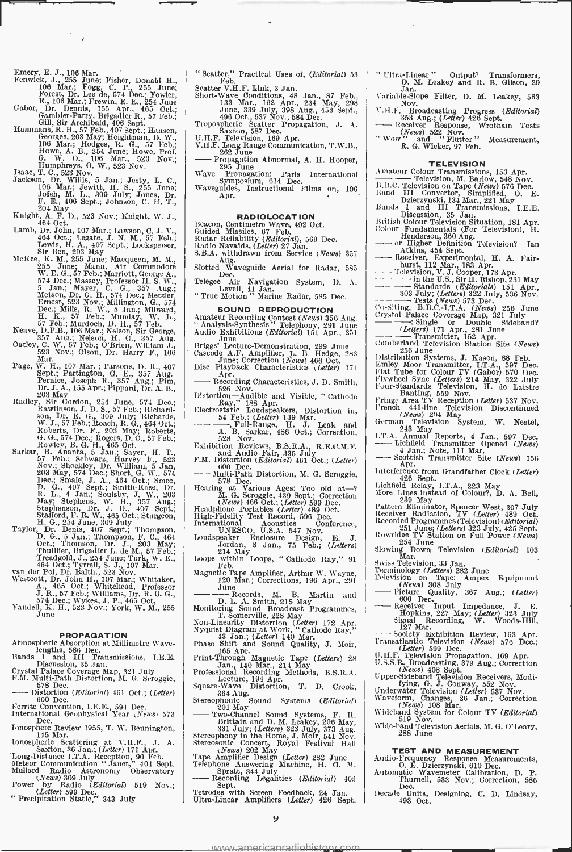$\bar{z}$  $\lambda$ 

- Emery, E. J., 106 Mar.<br>
Fenwick, J., 255 June; Fisher, Donald H., 106 Mar.; Fogg, C. P., 255 June; Forest, Dr. Lee de, 574 Dec.; Fowler, R, E., 254 June<br>
F., 106 Mar.; Frewin, E. E., 254 June<br>
Char.
- 
- Gabor, Dr. Dennis, 155 Apr., 465 Oct.;<br>
Gambier-Party, Brigadier R., 57 Feb.;<br>
Gambier-Party, Brigadier R., 57<br>
Hammans, R. H., 57 Feb., 407 Sept.; Hamsen, Mooney, A. H., 57 Feb.;<br>
Heonges, 203 May; Heightman, D. W.,<br>
160
- F. E., 406 Sept.; Johnson, C. H. T.,<br>204 May<br>Knight, A. F. D., 523 Nov.; Knight, W. J., 464 Oct.
- 
- 
- Lamb, Dr. John, 107 Mar.; Lawson, C. J. V., 648 Oct.; Legate, J. N. M., 57 Feb.; 1988; Ben Ben (1988), Hockspesser, 1886; Ben Ben, 203 May<br>McKee, K. M., 255 June; Macqueen, M. M., 57 Feb.; 255 June; Manu, Air Commodore<br>W. Dec.; Mills, R. W., 5 Jan.; Milward,<br>H. K., 57 Feb.; Munday, W. L.,<br>57 Feb.; Murdoch, D. H., 57 Feb.<br>Neave, D.P.B., 106 Mar.; Nelson, Sir George,<br>357 Aug.; Nelson, H. G., 357 Aug.<br>Oatley, C. W., 57 Feb.; O'Brien, William J
- 
- 
- 
- Page, W. H., 107 Mar.; Parsons, D. R., 407<br>
Sept.; Partington, G. E., 357 Aug.; Dentice, Joseph R., 357 Aug.; Pim,<br>
Pernice, Joseph R., 357 Aug.; Pim,<br>
Dr. J. A., 155 Apr.; Pippard, Dr. A. B.,<br>
203 May. Sir Gordon, 254 Jun
- Nov.; Shockley, Dr. William, 5 Jan, 203 May, 574 Dec.; Short, G. W., <sup>574</sup> Dec.; Smale, J. A., 464 Oct.; Smee, D. G., 407 Sept.; Smith -Rose, Dr. R. L., 4 Jan.; Soulsby, J. W., 203<br>May; Stephens, W. H., 357 Aug.;<br>Stephenson, Dr. J. D., 407 Sept.;<br>Stafford, F. R. W., 465 Oct.; Sturgeon,<br>H. G., 254 June, 309 July<br>Taylor, Dr. Denss, 407 Sept.; Thompson,<br>D. G., 5 Jan.;
- Oct.; Thomson, Dr. J., 203 May; Thuillier, Brigadier L. de M., 57 Feb.; Treadgold, J., 254 June; Turk, W. E., Treadgold, J., 254 June; Turk, W. E., 464 Oct.; Tyrrell, S. J., 107 Mar. van der Pol, Dr. Balth., 523 Nov.
- Westcott, Dr. John H., 107 Mar.; Whitaker, A., 465 Oct.; Whitehead, Professor J. R., G. G., G., 574 Dec.; Wykes, J. P., 465 Oct., 574 Dec.; Wykes, J. P., 465 Oct.
- Yandell, K. H., 523 Nov.; York, W. M., 255 June

- 
- 
- **PROPAGATION**<br> **Atmospheric Absorption at Millimetre Wavelengths, 586 Dec.**<br>
lengths, 586 Dec.<br>
Bands I and III Transmissions, I.E.E.<br>
Discussion, 35 Jan.<br>
Crystal Palace Coverage Map, 321 July<br>
F.M. Multi-Path Distortion,
- 
- Ferrite Convention, I.E.E., 594 Dec.<br>International Geophysical Year (News) 573<br>Dec.
- Ionosphere Review 1955, T. W. Bennington, 145 Mar.<br>
1000spheric Scattering at V.H.F., J. A. Saxton, 36 Jan.; (Letter) 171 Apr.<br>
Long-Distance I.T.A. Reception, 90 Feb.
- 
- 
- Meteor Communication " Janet," 404 Sept.<br>
Mullard Radio Astronomy Observatory<br>
Power by Radio (Editorial) 519 Nov.;<br>
"Precipitation Static," 343 July<br>
" Precipitation Static," 343 July
- 

" Scatter," Practical Uses of, (Editorial) 53<br>
Scatter V.H.F. Link, 3 Jan.<br>
Short-Wave Conditions, 48 Jan., 87 Feb.,<br>
133 Mar., 162 Apr., 234 May, 298

- 
- June, 339 July, 398 Aug., 453 Sept., 498 Oct., 537 Nov., 584 Dec.<br>Tropospheric Scatter Propagation, J. A. Saxton, 587 Nov., 598 Dec.
- 
- U.H.F. Television, 1887<br>
U.H.F. Television, 189 Apr.<br>
U.H.F. Long Range Communication, T.W.B.,<br>
289 June<br>
W.B. 295 June<br>
U.S. June<br>
U.S. June<br>
U.S. June<br>
U.S. June<br>
U.S. June
- 
- Propagation Abnormal, A. H. Hooper,<br>
295 June Propagation: Paris International<br>
Symposium, 614 Dec.<br>
Waveguides, Instructional Films on, 196<br>
Apr. .

RADIOLOCATION<br>
Beacon, Centimetre Wave, 492 Oct.<br>
Guided Missiles, 67 Feb.<br>
Radar Reliability (Editorial), 569 Dec.<br>
Radio Navaids, (Letter) 27 Jan.

- 
- 
- Status Aug.<br>Slotted Waveguide Aerial for Radar, 585<br>Dec.
- Telegee Air Navigation System, D. A. Levell, 81 Jan. " True Motion " Marine Radar, 585 Dec.
- 

- SOUND REPRODUCTION<br>
Amateur Recording Contest (News) 356 Aug. | C<br>
"Analysis-Synthesis " Telephony, 291 June
- Audio Exhibitions (*Editorial*) 151 Apr., 251<br>
June<br>
Briggs' Lecture Demonstration, 299 June<br>
Cascode A.F. Amplifier, L. B. Hedge, 283<br>
June; Correction (*News*) 466 Oct.
- Diagos Become Demonstration, 239 June<br>Cascode A.F. Amplifier, L. B. Hedge, 283<br>Disc Playback Characteristics (*Letter*) 171-<br>Apr. Recording Characteristics, J. D. Smith,<br>528 Nov...<br>Mistorike and Mislike (CAU)
- Distortion Audible and Visible, " Cathode
- 
- 
- Distortion—Audible and Visible, "Cathode<br>
Rectristing," 188 Apr.<br>
Rectristatic Equippeakers, Distortion in,<br>  $\frac{54 \text{ Feb}}{30 \text{ Na}}$ , Full-Range, H. J. Leak and<br>
A. B. Sarkar, 486 Oct.; Correction,<br>
Exhibition Reviews, B.S.
- 
- Multi -Path Distortion, M. G. Scroggie, 578 Dec.
- Hearing at Various Ages: Too old at-? M. G. Scroggie, 439 Sept.; Correction
- (News) 468 Oct.; (Letter) 599 Dec. Headphone Portables (Letter) 489 Oct.
- High -Fidelity Test Record, 596 Dec. International Acoustics Conference, UNESCO, U.S.A. 547 Nov.
- 
- Loudspeaker Enclosure Design, E. J. Jordan, 8 Jan., 75 Feb.; (Letters) 214 May Loops within Loops, " Cathode Ray," 91 Feb.
- Magnetic Tape Amplifier, Arthur W. Wayne, 120 Mar.; Corrections, 196 Apr., 291 - June Records, M. B. Martin and D. L. A. Smith, 215 May Monitoring Sound Broadcast Programmes, T. Somerville, 228 May Non -Linearity Distortion (Letter) 172 Apr. Nyquist Diagram at Work, " Cathode Ray," 43 Jan.; (Letter) 140 Mar. Phase Shift and Sound Quality, J. Moir, <sup>185</sup>Apr. Print -Through Magnetic Tape (Letters) 28 Jan., 140 Mar., 214 May Professional Recording Methods, B.S.R.A.
- 
- 
- 
- 
- 
- 
- Lecture, 194 Apr. Square -Wave Distortion, T. D. Crook, 364 Aug.<br>
Stereophonic Sound Systems (Editorial) 201 May<br>
 201 May Two-Channel Sound Systems, F. H.<br>
Brittain and D. M. Leakey, 206 May,<br>
 201 May Two -Channel So
- 
- 
- Brittain and D. M. Leakey, 206 May,<br>
331 July; (Letters) 323 July, 373 Aug.<br>
Stereophony in the Home, J. Moir, 541 Nov.<br>
Stereosonic Concert, Royal Festival Hall<br>
Tape Amplifier Design (Letter) 282 June
- 
- Telephone Answering Machine, H. G. M. Spratt, 344 July Recording Legalities (*Editorial*) 403 Sept. Tetrodes with Screen Feedback, 24 Jan.
- Sept.<br>Tetrodes with Screen Feedback, 24 Jan.<br>Ultra-Linear Amplifiers (Letter) 426 Sept. 9

<www.americanradiohistory.com>

- " Ultra- Linear " Output' Transformers, D. M. Leakey and R. B. Gilson, <sup>29</sup>
- Jan.<br>
Variable-Slope Filter, D. M. Leakey, 563<br>
Nov.
- Variable-Slope Filter, D. M. Leakey, 583<br>
V.H.F. Broadcasting Progress (*Editorial*)<br>
 353 Aug.; (Letter) 426 Sept.<br>
 Receiver Response, Wrotham Tests<br>
(*News*) 522, Novis...<br>
(*News*) 522, Novis...
- (News) 522 Nov. " Wow " and ' Flutter " Measurement, R. G. Wicker, 97 Feb.
- 

### **TELEVISION**

- 
- 
- R. G. Wicker, 97 Feb.<br>
Amateur Colour Transmissions, 153 Apr.<br>
B.B.C. Television, M. Barlow, 548 Nov.<br>
B.B.C. Television on Tape (News) 576 Dec.<br>Band III Convertor, Simplified, O. E.<br>Bands I<sub>and</sub> HI Transmissions, I.E.E.<br>
- 
- Discussion 35 Jan. British Colour Television Situation 181 Apr. Colour Fundamentals (For Television), H.
- 
- 
- 
- Henderson, 360 Aug.<br>
Transfer Definition Television? Ian<br>
 or Higher Definition Television? Ian<br>
 Receiver, Experimental, H. A. Fair-<br>
hurst, 112 Mar., 183 Apr.<br>
 Television, V. J. Cooper, 173 Apr.<br>
 in the U.S., Sir
- -
- 
- 
- 
- Distribution Systems J. Kason, 88 Feb. Emley Moor Transmitter, I.T.A., 597 Dec. Flat Tube for Colour TV (Gabor) 570 Dec.
- 
- 
- 
- Flywheel Sync (Letters) 214 May, 322 July<br>Four-Standards Television, H. de Laistre<br>Danting, 559 Nov.<br>Fringe Area TV Reception (Letter) 537 Nov.<br>French 441-line Television Discontinued<br>(News) 204 May<br>German Television Syst
- 
- 
- Apr. Apr. 1<br>
Apr. 1 (Apr. 1986)<br>
Interference from Grandfather Clock (Letter)<br>
Lichheld Relay, I.T.A., 223 May<br>
More Lines instead of Colour?, D. A. Bell,<br>
239 May<br>
Pattern Ellimiator, Spencer West, 307 July<br>
Receiver, Rad
- Recorded Programmes (Television) *i Editorial*)<br>
251 June; (Letters) 323 July, 425 Sept.<br>Rowridge TV Station on Full Power (News)<br>
254 June

Slowing Down Television (*Editorial*) 103

Terminology (Letters) 282 June<br>Television on Tape: Ampex Equipment<br>Television on Tape: Ampex Equipment<br> $\overline{P}$ Pieture Quality, 367 Aug.; (Letter) Television on Tape: Ampex Equipment (News) 308 July<br>
Picture Quality, 367 Aug.; (Letter)<br>
600 Dec.<br>
Receiver Input Impedance, J. E.

Hopkins, 227 May; (Letter) 323 July Signal Recording, W. Woods -Hill, 127 Mar. Society Exhibition Review, 163 Apr. Transatlantic Television (News) 576 Dec.; (Letter) 599 Dec. U.H.F. Television Propagation, 169 Apr. U.S.S.R. Broadcasting, 379 Aug.; Correction

(*News*) 408 Sept.<br>
Upper-Sideband Television Receivers, Modi-<br>
Euper-Sideband Television Receivers, Modi-<br>
Underwater Television (*Letter*) 537 Nov.<br>
Underwater Television (*Letter*) 537 Nov.<br>
Waveform, Changes, 26 Jan.;

**TEST AND MEASUREMENT**<br>Audio-Frequency Response Measurements,<br>O. E. Dzierzynski, 610 Dec.<br>Automatic Wavemeter Calibration, D. P.

Wide -band Television Aerials, M. G. O'Leary, 288 June

Thurstein, 533 Nov.; Correction, 586<br>Decade Units, Designing, C. D. Lindsay, 493 Oct.

Sisaning Bowld Television<br>Swiss Television, 33 Jan.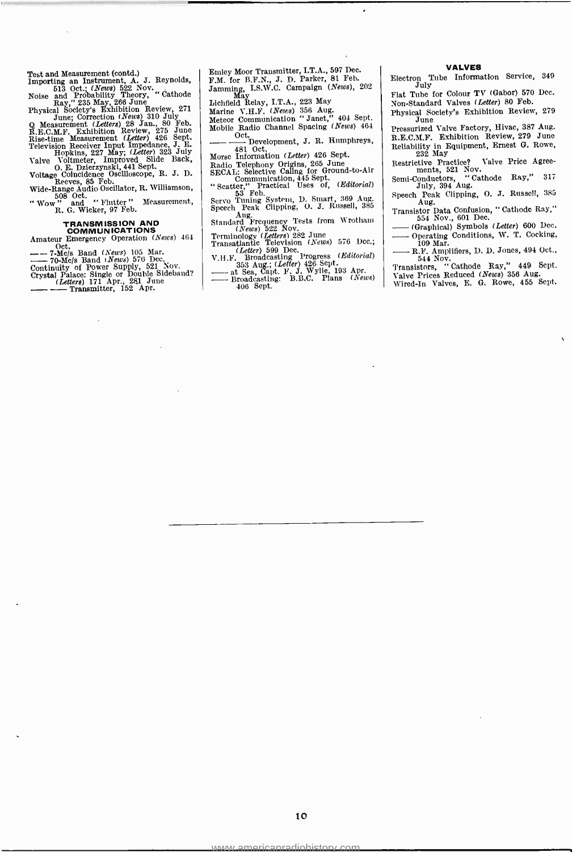Test and Measurement (contd.)<br>
Importing an Instrument, A. J. Reynolds,<br>
F. 513 Oct.; (News) 522 Nov.<br>
Noise and Probability Theory, "Cathode Ray," 235 May, 266 June<br>
Physical Society's Exhibition Review, 271<br>
Line Correc

# TRANSMISSION AND COMMUNICATIONS

Amateur Emergency Operation  $(News)$  464

COMMUNICATIONS<br>
Amateur Emergency Operation (News) 464<br>
-- 7-Me/s Band (News) 105 Mar.<br>
-- 70-Me/s Band (News) 576 Dec.<br>
Continuity of Power Supple or Double Sideband?<br>
Crystal Palace: Single or Double Sideband?<br>
(Letters)  $-7$ -archives Band (*News*) 576 Bec.<br>
Continuity of Power Supply, 521 November School (*Letters*) 171 Apr., 281 June<br>
Crystal Palace: Single or Double Sideb<br>
Chetters, 171 Apr., 281 June<br>
Chetters, 152 Apr.

Emley Moor Transmitter, I.T.A., 597 Dec. F.M. for B.F.N., J. D. Parker, 81 Feb.<br>Jamming, I.S.W.C. Campaign (*News*), 202<br>Lichfield Relay, I.T.A., 223 May<br>Marine V.H.F. (*News*) 356 Aug.<br>Meteor Communication "Janet," 404 Sept.<br>Mobile Radio Channel Spacing (*News*)

Oct.<br>Development, J. R. Humphreys,

481 Oct.<br>Morse Information (Letter) 426 Sept.

Morse Information (Letter) 426 Sept.<br>
Radio Telephony Origins, 265 June<br>
SECAL: Selective Caling for Ground-to-Air<br>
Communication, 445 Sept.<br>
"Scatter," Practical Uses of, (Editorial)<br>
Secare of Tuning System, D. Smart, 36

(News) 522 Nov.<br>
Transatlantic Television (News) 576 Dec.;<br>
Transatlantic Television (News) 576 Dec.;<br>
(Letter) 599 Dec.<br>
V.H.F. Broadcasting Progress (Editorial) – Transatlantic Television (News) 576 Dcc.;<br> *Letter*) 599 Dec.<br>
V.H.F. Broadcasting Progress (Editorial)<br>
353 Aug.; (Letter) 426 Sept.<br>
— at Sea, Capt. F. J. Wylie, 193 Apr.<br>
— Broadcasting: B.B.C. Plans (News)<br>
406 Sept.

### VALVES

Tube Information Service, 349 Electron 1<br>July

Flat Tube for Colour TV (Gabor) 570 Dec. Non-Standard Valves (Letter) 80 Feb.

Physical Society's Exhibition Review, 279 June Pressurized Valve Factory, Hivac, 387 Aug.

R.E.C.M.F. Exhibition Review, 279 June Reliability in Equipment, Ernest G. Rowe, 232 May

Restrictive Practice? Valve Price Agree-<br>ments, 521 Nov.<br>Semi-Conductors, "Cathode Ray," 317<br>July, 394 Aug.

Speech Peak Clipping, O. J. Russell, 385<br>Aug. Transistor Data Confusion, "Cathode Ray,"<br>554 Nov., 601 Dec.

Speech Peak Clipping, O. J. Kussen, 389<br>Transistor Data Confusion, "Cathode Ray,"<br>554 Nov., 601 Dec.<br>—— (Graphical) Symbols (*Letter*) 600 Dec.<br>—— Operating Conditions, W. T. Cocking,<br>109 Mar.<br>—— R.F. Amplifiers, D. D. Jon

Wired -In Valves, E. G. Rowe, 455 Sept.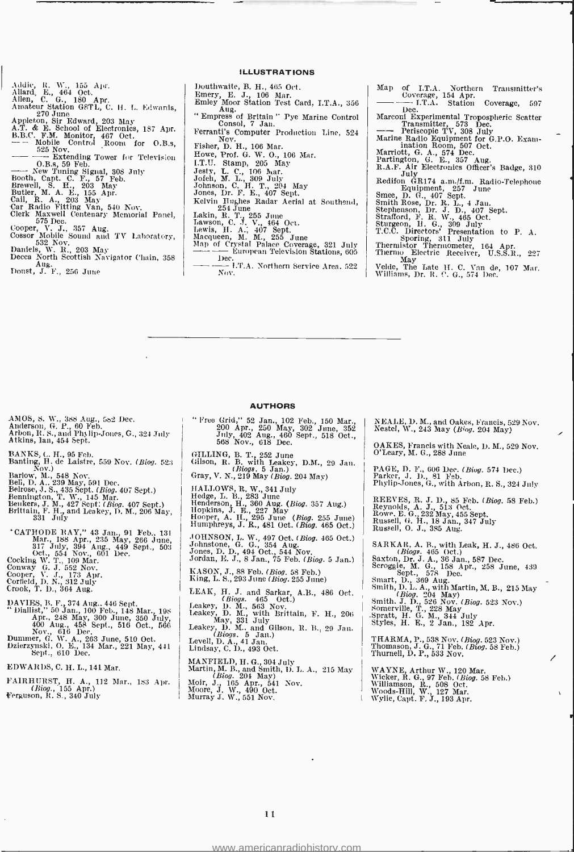- Addie, R. W., 155 Apr. Allard, E., 464 Oct.
- 
- 
- Allen, C. G., 180 Apr.<br>Amateur Station G8TL, C. H. L. Edwards,<br>13. 270 June
- 
- 
- Appleton, Sir Edward, 203 May<br>
A.T. & E. School of Electronics, 187 Apr. -<br>
B.B.C. F.M. Monitor, 467 Oct.<br>
-- Mobile Control Room for O.B.s, 525 Nov.<br>
-- Mobile Control Room for Television<br>
-- No.B.s, 59 Feb.<br>
-- Now. Th
- O.B.s 59 Feb. New Tuning Signal, 308 July Booth, Capt. C. F., 57 Feb.
- 
- 
- 
- 
- Brewell, S. H., 203 May<br>Butler, M. A. E., 155 Apr.<br>Cail, R. A., 203 May<br>Car Radio Fitting Van, 540 Nov.
- 
- Clerk Maxwell Centenary Memorial Panel, Cooper, V. J., 357 Aug.<br>Cooper, V. J., 357 Aug.<br>Cossor Mobile Sound and TV Laboratory, 532 Nov. 1001
- 
- Daniels, W. R., 203 May<br>Decca North Scottish Navigator Chain, 358<br>Doust, J. F., 256 June
- ILLUSTRATIONS
- 
- Douthwaite, B. H., 465 Oct.<br>
Emery, E. J., 106 Mar.<br>
Emery, E. J., 106 Mar.<br>
Aug.<br>
"Empress of Britain " Pye Marine Control (1990)<br>" Consol, 7 Jan.
- 
- Ferranti's Computer Production Line, 524<br>Fisher, D. H., 106 Mar.<br>Howe, Prof. G. W. O., 106 Mar.<br>H.U. Stamp, 205 May<br>L.U. Stamp, 205 May<br>Jesty, L. C., 106 Mar.
- 
- 
- 
- 
- 
- 
- 
- 
- 
- 
- 
- Jofeh, M. L., 309 July<br>Johnson, C. H. T., 204 May<br>Jones, Dr. F. E., 407 Sept.<br>Kelvin Hughes Radar Aerial at Southend,<br>Kelvin Hughes Radar Aerial at Southend,<br>Lakin, R. T., 255 June<br>Lewis, H. A.; 407 Sept.<br>Map of Crystal Pa Dec.<br>Dec.<br>- 1.T.A. Northern Service Area. 522
- Map of I.T.A. Northern Transmitter's Coverage, 154 Apr.<br>-- I.T.A. Station Coverage, 597<br>Dec.
- Marconi Experimental Tropospheric Scatter Transmitter, 573 Dec.
- 
- 
- 
- 
- --- Periscopic TV, 308 July<br>Marine Radio Equipment for G.P.O. Exammination Room, 507 Oct.<br>Marriott, G. A., 574 Dec.<br>Partington, G. E., 357 Aug.<br>R.A.F. Air Electronics Officer's Badge, 310<br>Redifon GR174 a.m./f.m. Radio-Tele
	-
	- Smee, D. G., 407 Sept. Smith Rose, Dr. R. L., 4 Jan.
	-
	- Stephenson, Dr. J. D., 407 Sept. Strafford, F. R. W., 465 Oct.
	-
	- Sturgeon, H. G., 309 July<br>T.C.C. Directors' Presentation to P. A.<br>Sporing, 311 July<br>Thermistor Thermometer, 164 Apr.<br>Thermo Electric Receiver, U.S.S.R., 227
	-
	- May May 1. May 1. May 1. Welde, The Late H. C. Van de, 107 Mar. Williams, Dr. R. C. G., 574 Dec.

- AMOS, S. W., 388 Aug., 582 Dec.<br>Anderson, G. P., 60 Feb.<br>Arbon, R. S., and Phylip-Jones, G., 324 July<br>Atkins, 1an, 454 Sept.
- 
- Banting, H. de Laistre, 559 Nov. (*Biog.* 523)<br>Barlow, M., 548 Nov.<br>Barlow, M., 548 Nov.<br>Bell, D. A.. 239 May, 591 Dec.<br>Bell, D. A.. 239 May, 591 Dec.<br>Bennington, T. W<sub>.,</sub> 145 Mar.<br>Bennington, T. W<sub>.,</sub> 145 Mar.
- 
- 
- 
- 
- Beukers, J. M., 427 Sept: (Biog. 407 Sept.)<br>Brittain, F. H., and Leakey, D. M., 206 May, 331 July
- \* CATHODE RAY," 43 Jan., 91 Feb., 131<br>
Mar., 188 Apr., 235 May, 266 June,<br>
317 July, 394 Aug., 449 Sept., 503<br>
cot., 554 Nov., 601 Dec.<br>
Cocking W, T., 109 Mar.<br>
Cocking W, T., 138 Apr.<br>
Cooper, V. J., 173 Apr.<br>
Crofield,
- 
- 
- 
- 
- 
- DAVIES, B. F., 374 Aug., 446 Sept.<br>" Diallist," 50 Jan., 100 Feb., 148 Mar., 198 Apr., 248 May, 300 June, 350 July, 400 Aug., 458 Sept., 516 Oct., 566<br>
400 Aug., 458 Sept., 516 Oct., 566<br>
Dummer, G. W. A., 263 June, 510 Oct.<br>
Dzierzynski, O. E., 134 Mar., 221 May, 441<br>
Sept., 610 Dec.
- 
- EDWARDS, C. H. L., 141 Mar.
- FAIRHURST, H. A., 112 Mar., 183 Apr. (Biog., 155 Apr.) Ferguson, R. S., 340 July

AUTHORS

" Free Grid," 52 Jan., 102 Feb., 150 Mar., 200 Apr., 250 May, 302 June, 352<br>July, 402 Aug., 460 Sept., 518 Oct.,<br>568 Nov., 618 Dec.

- GILLING, B. T., 252 June<br>
Gilson, R. B. with Leakey, D.M., 29 Jan. (Biogs. 5 Jan.)<br>
Gray, V. N., 219 May (Biog. 204 May)
- 
- HALLOWS, R. W., 341 July<br>Hedge, L. B., 283 June
- 
- Henderson, H., 360 Aug. (Biog. 357 Aug.)<br>Hopkins, J. E., 227 May Hooper, A. II., 295 June (Biog. 255 June) Humphreys, J. R., 481 Oct. (Biog. 465 Oct.)
- JOHNSON, L. W. 497 Oct. (Biog. 465 Oct.) Johnstone G. G., 354 Aug. Jones, D. b., 494 Oct., 544 Nov. Jordan, E. J., 8 Jan., 75 Feb. (Biog. 5 Jan.)
- 
- KASON, J., 88 Feb. (Biog. 58 Feb.) King, L. S., 293 June (Biog. 255 June)
- LEAK, H. J. and Sarkar, A.B., 486 Oct.<br>
(Biege. 465 Oct.)<br>
Leakey, D. M., 563 Nov.<br>
Leakey, D. M., with Brittain, F. H., 206 May, 331 July<br>
Leakey, D. M., and Gilson, R. B., 29 Jan.
- 
- (*Biogs. 5 Jan.*)<br>Levell, D. A., 41 Jan.<br>Lindsay, C. D., 493 Oct.
- 
- MANFIELD, H. G., 304 July<br>
Martin, M. B., and Smith, D. L. A., 215 May<br> *Moir*, J., 165 Apr., 541 Nov.<br>
Moire, J. W., 490 Oct.<br>
Murray J. W., 551 Nov.<br>
Murray J. W., 551 Nov.
- 

NEALE, D. M., and Oakes, Francis, 529 Nov. Nestel, W., 243 May (Biog. 204 May)

OAKES, Francis with Neale, D. M., 529 Nov. O'Leary, M. G., 288 June

PAGE, D. F., 606 Dec. (*Biog.* 574 Dec.)<br>Parker, J. D., 81 Feb.<br>Phylip-Jones, G., with Arbon, R. S., 324 July

REEVES, R. J. D., 85 Feb. (Biog. 58 Feb.)<br>Reynolds, A. J., 513 Oct. Rowe, E. G., 232 May, 455 Sept.<br>Russell, G. H., 18 Jan., 347 July<br>Russell, O. J., 385 Aug.

SARKAR, A. B., with Leak, H. J., 486 Oct.<br>(*Biogs.* 465 Oct.)<br>Saxton, Dr. J. A., 36 Jan., 587 Dec.

Scroggie, M. G., 158 Apr., 258 June, 439<br>
Sept., 578 Dec.<br>
Smart, D., 369 Aug.<br>
Smith, D. L. A., with Martin, M. B., 215 May<br>
Smith, D. L. A., with Martin, M. B., 215 May<br>
Smith. J. D., 526 Nov. (Biog. 523 Nov.)<br>
Somervill

- 
- 

THARMA, P., 538 Nov. (Biog. 523 Nov.)<br>Thomason, J. G., 71 Feb. (Biog. 58 Feb.)<br>Thurnell, D. P., 533 Nov.

WAYNE, Arthur W., 120 Mar.<br>Wicker, R. G., 97 Feb. (*Biog.* 58 Feb.)<br>Williamson, R., 508 Oct.<br>Woods-Hill, W., 127 Mar.<br>Wylie, Capt. F. J., 193 Apr.

<www.americanradiohistory.com>